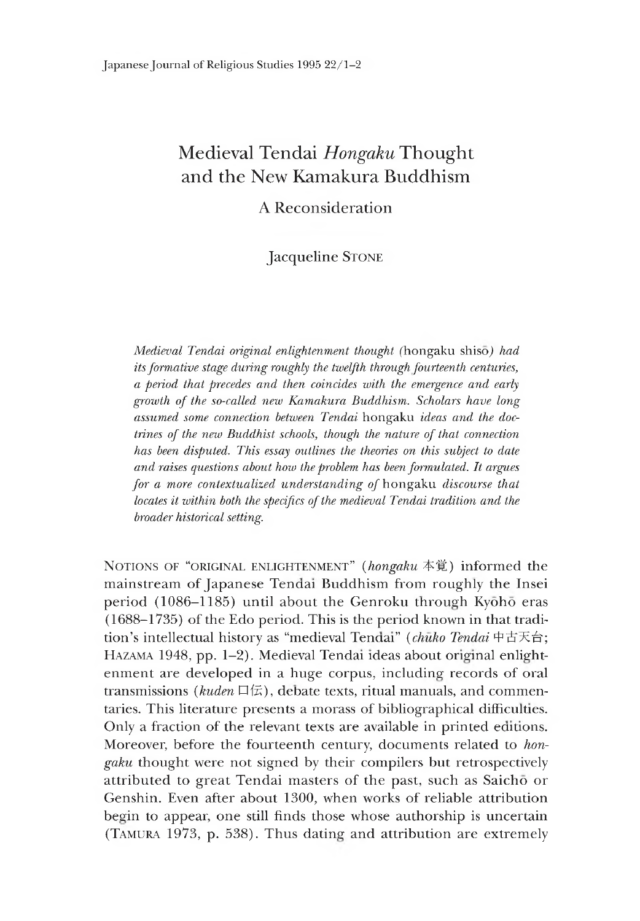# Medieval Tendai *Hongaku* Thought and the New Kamakura Buddhism

# A Reconsideration

# Jacqueline STONE

*Medieval Tendai original enlightenment thought* (hongaku shiso*) had its formative stage during roughly the twelfth through fourteenth centuries, a period that precedes and then coincides with the emergence and early growth of the so-called new Kamakura Buddhism. Scholars have long assumed some connection between Tendai* hongaku *ideas and the doctrines of the new Buddhist schools, though the nature of that connection has been disputed. This essay outlines the theories on this subject to date and raises questions about how the problem has been formulated. It argues for a more contextualized understanding of* hongaku *discourse that locates it within both the specifics of the medieval Tendai tradition and the broader historical setting.*

Notions of "original enlightenment" *(hongaku* 本覚) informed the mainstream of Japanese Tendai Buddhism from roughly the Insei period (1086–1185) until about the Genroku through Kyoho eras (1688—1735) of the Edo period. This is the period known in that tradition's intellectual history as "medieval Tendai" *(chuko Tendai* 中古天台; HAZAMA 1948, pp. 1–2). Medieval Tendai ideas about original enlightenment are developed in a huge corpus, including records of oral transmissions *(kuden*  $\Box$   $\overleftrightarrow{E}$ ), debate texts, ritual manuals, and commentaries. This literature presents a morass of bibliographical difficulties. Only a fraction of the relevant texts are available in printed editions. Moreover, before the fourteenth century, documents related to *hongaku* thought were not signed by their compilers but retrospectively attributed to great Tendai masters of the past, such as Saicho or Genshin. Even after about 1300, when works of reliable attribution begin to appear, one still finds those whose authorship is uncertain (Tamura 1973, p. 538). Thus dating and attribution are extremely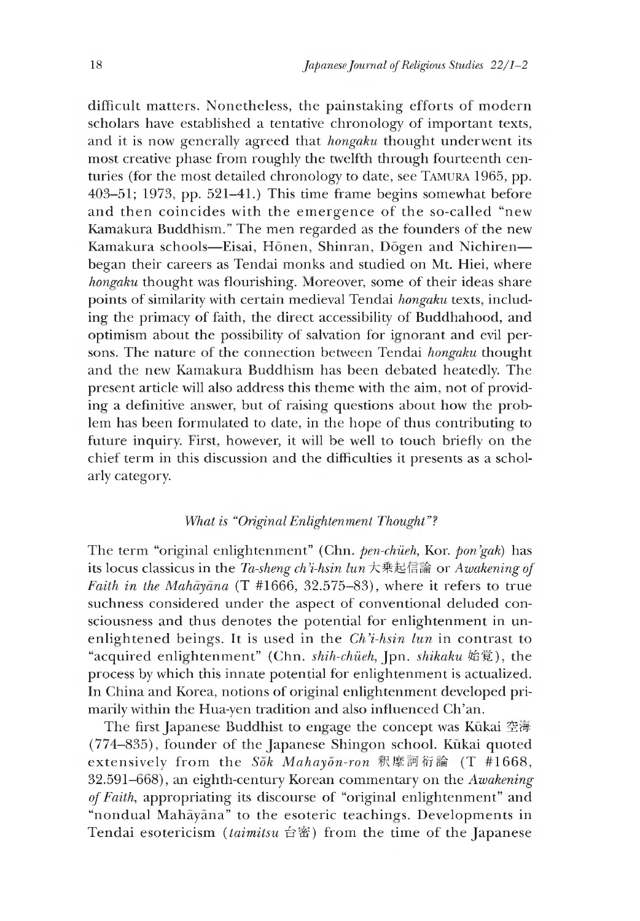difficult matters. Nonetheless, the painstaking efforts of modern scholars have established a tentative chronology of important texts, and it is now generally agreed that *hongaku* thought underwent its most creative phase from roughly the twelfth through fourteenth centuries (for the most detailed chronology to date, see TAMURA 1965, pp. 403-51; 1973 pp. 521-41.) This time frame begins somewhat before and then coincides with the emergence of the so-called "new Kamakura Buddhism." The men regarded as the founders of the new Kamakura schools—Eisai, Hōnen, Shinran, Dōgen and Nichiren began their careers as Tendai monks and studied on Mt. Hiei, where *hongaku* thought was flourishing. Moreover, some of their ideas share points of similarity with certain medieval Tendai *hongaku* texts, includine the primacy of faith, the direct accessibility of Buddhahood, and optimism about the possibility of salvation for ignorant and evil persons. The nature of the connection between Tendai *hongaku* thought and the new Kamakura Buddhism has been debated heatedly. The present article will also address this theme with the aim, not of providing a definitive answer, but of raising questions about how the problem has been formulated to date, in the hope of thus contributing to future inquiry. First, however, it will be well to touch briefly on the chief term in this discussion and the difficulties it presents as a scholarly category.

### *What is "OriginalEnlightenment Thought"?*

The term "original enlightenment" (Chn. *pen-chileh,* Kor. *pon'gak)* has its locus classicus in the *Ta-sheng chi-hsin lun* 大乗起侣論 or *Awakening of Faith in the Mahāyāna* (T #1666, 32.575-83), where it refers to true suchness considered under the aspect of conventional deluded consciousness and thus denotes the potential for enlightenment in unenlightened beings. It is used in the *Ch'i-hsin lun* in contrast to "acquired enlightenment" (Chn. *shih-chileh,* Jpn. *shikaku 始覚、,* the process by which this innate potential for enlightenment is actualized. In China and Korea, notions of original enlightenment developed primarily within the Hua-yen tradition and also influenced Ch'an.

The first Japanese Buddhist to engage the concept was Kūkai 空海 (774-835), founder of the Japanese Shingon school. Kukai quoted extensively from the *Sok Mahayon-ron* 釈摩訶衍論 (T #1668, 32.591-bo8), an eighth-century Korean commentary on the *Awakening of Faith,* appropriating its discourse of "original enlightenment" and "nondual Mahāyāna" to the esoteric teachings. Developments in Tendai esotericism (*taimitsu* 台密) from the time of the Japanese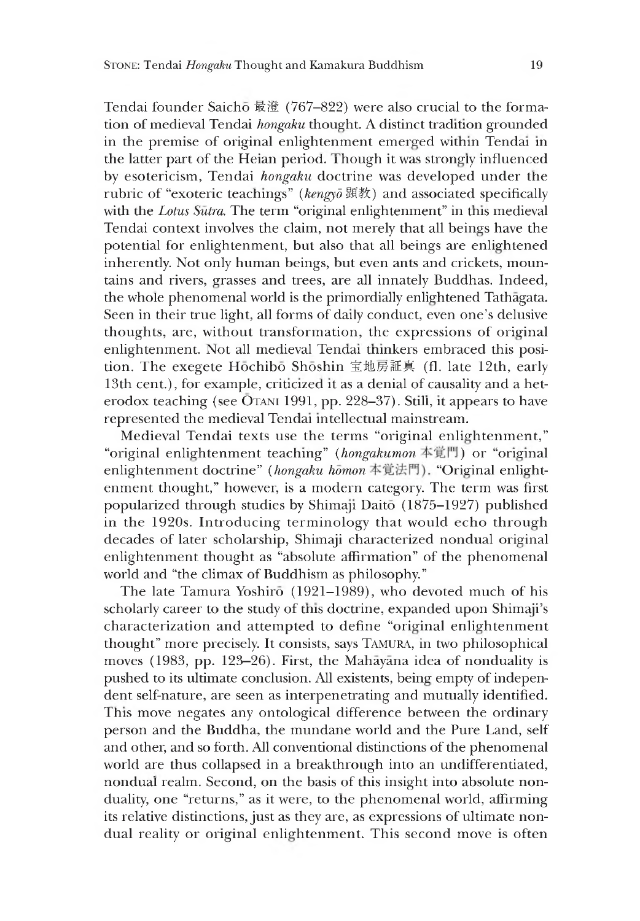Tendai founder Saicho 最澄 (767-822) were also crucial to the formation of medieval Tendai *hongaku* thought. A distinct tradition grounded in the premise of original enlightenment emerged witnin Tendai in the latter part of the Heian period. Though it was strongly influenced by esotericism, Tendai *hongaku* doctrine was developed under the rubric of "exoteric teachings" (kengyō 顕教) and associated specifically with the *Lotus Sutra*. The term "original enlightenment" in this medieval Tendai context involves the claim, not merely that all beings have the potential for enlightenment, but also that all beings are enlightened inherently. Not only human beings, but even ants and crickets, mountains and rivers, grasses and trees, are all innately Buddhas. Indeed, the whole phenomenal world is the primordially enlightened Tathagata. Seen in their true light, all forms of daily conduct, even one's delusive thoughts, are, without transformation, the expressions of original enlightenment. Not all medieval Tendai thinkers embraced this position. The exegete Hōchibō Shōshin 宝地房証真 (fl. late 12th, early 13th cent.), for example, criticized it as a denial of causality and a heterodox teaching (see  $\overline{O}$ TANI 1991, pp. 228–37). Still, it appears to have represented the medieval Tendai intellectual mainstream.

Medieval Tendai texts use the terms "original enlightenment," "original enlightenment teaching" (hongakumon 本覚門) or "original enlightenment doctrine" (hongaku homon 本覚法門). "Original enlightenment thought," however, is a modern category. The term was first popularized through studies by Shimaji Daito (1875-1927) published in the 1920s. Introducing terminology that would echo through decades of later scholarship, Shimaji characterized nondual original enlightenment thought as "absolute affirmation" of the phenomenal world and "the climax of Buddhism as philosophy."

The late Tamura Yoshiro (1921-1989), who devoted much of his scholarly career to the study of this doctrine, expanded upon Shimaji's characterization and attempted to define "original enlightenment thought" more precisely. It consists, says Tamura, in two philosophical moves (1983, pp. 123-26). First, the Mahayana idea of nonduality is pushed to its ultimate conclusion. All existents, being empty of independent self-nature, are seen as interpenetrating and mutually identified. Ihis move negates any ontological difference between the ordinary person and the Buddha, the mundane world and the Pure Land, self and other, and so forth. All conventional distinctions of the phenomenal world are thus collapsed in a breakthrough into an undifferentiated, nondual realm. Second, on the basis of this insight into absolute nonduality, one "returns," as it were, to the phenomenal world, affirming its relative distinctions, just as they are, as expressions of ultimate nondual reality or original enlightenment. This second move is often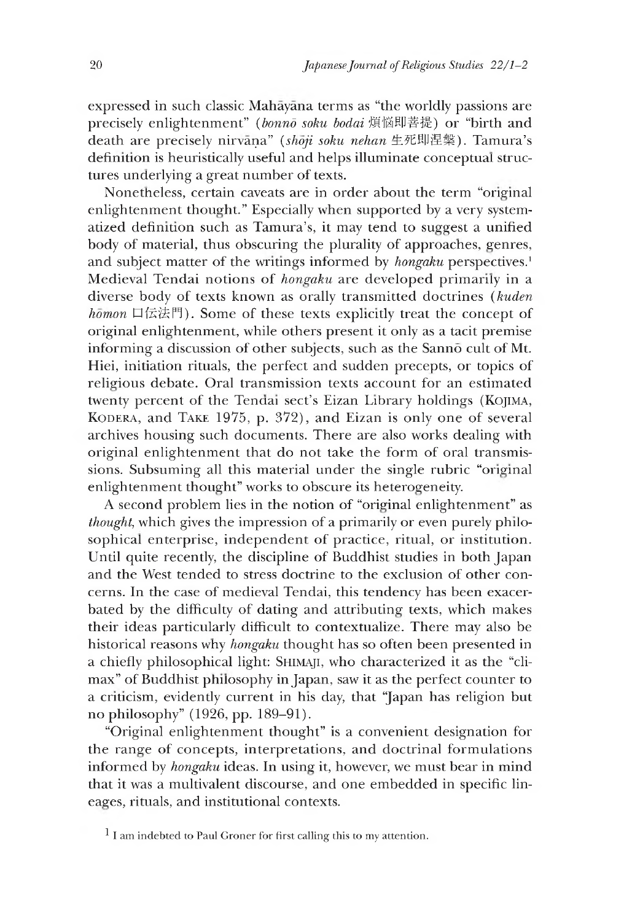expressed in such classic Mahayana terms as "the worldly passions are precisely enlightenment" (bonno soku bodai 煩悩即菩提) or "birth and death are precisely nirvana" (shoji soku nehan 生死即涅槃). Tamura's definition is heuristically useful and helps illuminate conceptual structures underlying a great number of texts.

Nonetheless, certain caveats are in order about the term "original enlightenment thought." Especially when supported by a very systematized definition such as Tamura's, it may tend to suggest a unified body of material, thus obscuring the plurality of approaches, eenres, and subject matter of the writings informed by *hongaku* perspectives.<sup>1</sup> Medieval Tendai notions of *hongaku* are developed primarily in a diverse body of texts known as orally transmitted doctrines (*kuden* homon 口伝法門). Some of these texts explicitly treat the concept of original enlightenment, while others present it only as a tacit premise informing a discussion of other subjects, such as the Sanno cult of Mt. Hiei, initiation rituals, the perfect and sudden precepts, or topics of religious debate. Oral transmission texts account for an estimated twenty percent of the Tendai sect's Eizan Library holdings (KOJIMA, KODERA, and TAKE 1975, p. 372), and Eizan is only one of several archives housing such documents. There are also works dealing with original enlightenment that do not take the form of oral transmissions. Subsuming all this material under the single rubric "original enlightenment thought" works to obscure its heterogeneity.

A second problem lies in the notion of "original enlightenment" as *thought,* which gives the impression of a primarily or even purely philosophical enterprise, independent of practice, ritual, or institution. Until quite recently, the discipline of Buddhist studies in both Japan and the West tended to stress doctrine to the exclusion of other concerns. In the case of medieval Tendai, this tendency has been exacerbated by the difficulty of dating and attributing texts, which makes their ideas particularly difficult to contextualize. There may also be historical reasons why *hongaku* thought has so often been presented in a chiefly philosophical light: SHIMAJI, who characterized it as the "climax" of Buddhist philosophy in Japan, saw it as the perfect counter to a criticism, evidently current in his day, that "Japan has religion but no philosophy" (1926, pp. 189-91).

"Original enlightenment thought" is a convenient designation for the range of concepts, interpretations, and doctrinal formulations informed by *hongaku* ideas. In using it, however, we must bear in mind that it was a multivalent discourse, and one embedded in specific lineages, rituals, and institutional contexts.

 $<sup>1</sup>$  I am indebted to Paul Groner for first calling this to my attention.</sup>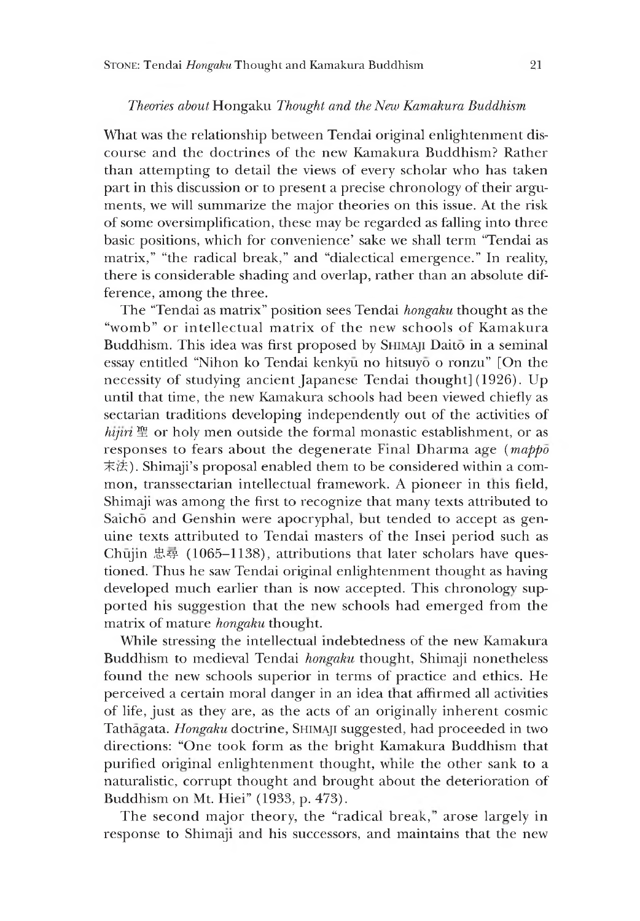#### *Theories about* Hongaku *Thought and the New Kamakura Buddhism*

What was the relationship between Tendai original enlightenment discourse and the doctrines of the new Kamakura Buddhism? Rather than attempting to detail the views of every scholar who has taken part in this discussion or to present a precise chronology of their arguments, we will summarize the major theories on this issue. At the risk of some oversimplification, these may be regarded as falling into three basic positions, which for convenience' sake we shall term "Tendai as matrix," "the radical break," and "dialectical emergence." In reality, there is considerable shading and overlap, rather than an absolute difference, among the three.

The "Tendai as matrix" position sees Tendai *hongaku* thought as the "womb" or intellectual matrix of the new schools of Kamakura Buddhism. This idea was first proposed by SHIMAJI Daito in a seminal essay entitled "Nihon ko Tendai kenkyu no hitsuyo o ronzu" [On the necessity of studying ancient Japanese Tendai thought] (1926). Up until that time, the new Kamakura schools had been viewed chiefly as sectarian traditions developing independently out of the activities of  $hijn \nsubseteq$  or holy men outside the formal monastic establishment, or as responses to fears about the degenerate Final Dharma age (mappo 末法). Shimaji's proposal enabled them to be considered within a common, transsectarian intellectual framework. A pioneer in this field, Shimaji was among the first to recognize that many texts attributed to Saichō and Genshin were apocryphal, but tended to accept as genuine texts attributed to Tendai masters of the Insei period such as Chūjin 忠尋 (1065-1138), attributions that later scholars have questioned. fhus he saw Tendai original enlightenment thought as having developed much earlier than is now accepted. This chronology supported his suggestion that the new schools had emerged from the matrix of mature *hongaku* thought.

While stressing the intellectual indebtedness of the new Kamakura Buddhism to medieval Tendai *hongaku* thought, Shimaji nonetheless found the new schools superior in terms of practice and ethics. He perceived a certain moral danger in an idea that affirmed all activities of life, just as they are, as the acts of an originally inherent cosmic Tathāgata. *Hongaku* doctrine, SHIMAJI suggested, had proceeded in two directions: "One took form as the bright Kamakura Buddhism that purified original enlightenment thought, while the other sank to a naturalistic, corrupt thought and brought about the deterioration of Buddhism on Mt. Hiei" (1933, p. 473).

The second major theory, the "radical break," arose largely in response to Shimaji and his successors, and maintains that the new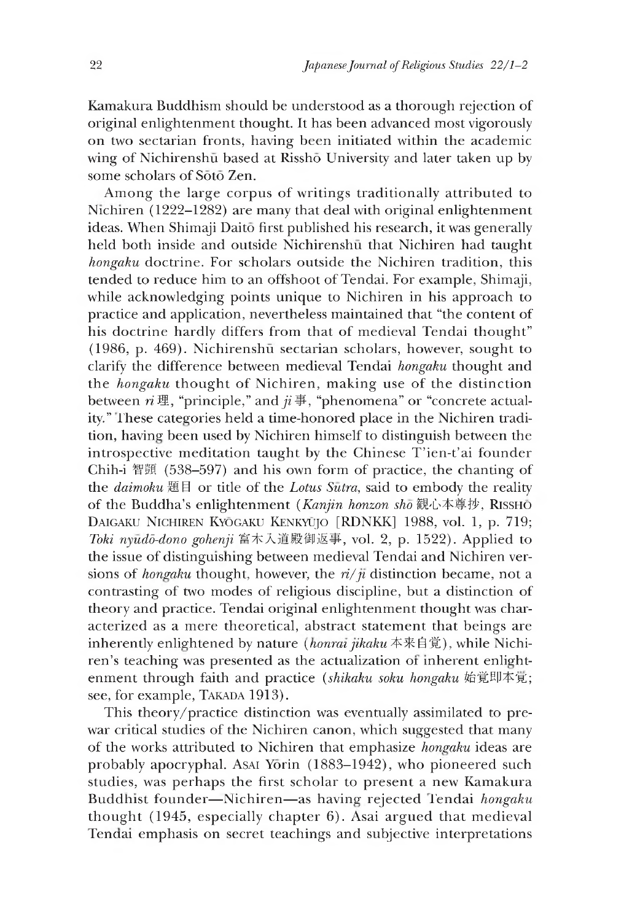Kamakura Buddhism should be understood as a thorough rejection of original enlightenment thought. It has been advanced most vigorously on two sectarian fronts, having been initiated within the academic wing of Nichirenshu based at Rissho University and later taken up by some scholars of Soto Zen.

Among the large corpus of writings traditionally attributed to Nichiren (1222-1282) are many that deal with original enlightenment ideas. When Shimaji Daito first published his research, it was generally held both inside and outside Nichirenshu that Nichiren had taught *hongaku* doctrine. For scholars outside the Nichiren tradition, this tended to reduce him to an offshoot of Tendai. For example, Shimaji, while acknowledging points unique to Nichiren in his approach to practice and application, nevertheless maintained that "the content of his doctrine hardly differs from that of medieval Tendai thought" (1986 p. 469). Nichirenshu sectarian scholars, however, sought to clarify the difference between medieval Tendai *hongaku* thought and the *hongaku* thought of Nichiren, making use of the distinction between  $\vec{n}$   $\vec{\textbf{H}}$ , "principle," and  $\vec{n}$   $\vec{\textbf{H}}$ , "phenomena" or "concrete actuality." These categories held a time-honored place in the Nichiren tradition, havine been used by Nichiren himself to distinguish between the introspective meditation taught by the Chinese T'ien-t'ai founder Chih-i 智顗 (538–597) and his own form of practice, the chanting of the *daimoku* 題目 or title of the *Lotus Sutra,* said to embody the reality of the Buddha's enlightenment *(Kanjin honzon sho* 観心本尊抄, RISSHO DAIGAKU NICHIREN KYŌGAKU KENKYŪJO [RDNKK] 1988, vol. 1, p. 719; *Toki nyudd-dono gohenji* 富木入道殿御返事,vol.2 p. 1522). Applied to the issue of distinguishing between medieval Tendai and Nichiren versions of *hongaku* thought, however, the  $\frac{ri}{ji}$  distinction became, not a contrasting of two modes of religious discipline, but a distinction of theory and practice. Tendai original enlightenment thought was characterized as a mere theoretical, abstract statement that beings are inherently enlightened by nature *(honrai jikaku* 本来自覚), while Nichiren's teaching was presented as the actualization of inherent enlightenment through faith and practice (shikaku soku hongaku 始覚即本覚; see, for example, TAKADA 1913).

This theory/practice distinction was eventually assimilated to prewar critical studies of the Nichiren canon, which suggested that many of the works attributed to Nichiren that emphasize *hongaku* ideas are probably apocryphal. Asai Yōrin (1883–1942), who pioneered such studies, was perhaps the first scholar to present a new Kamakura Buddhist founder—Nichiren—as having rejected Tendai *hongaku* thought (1945, especially chapter 6). Asai argued that medieval Tendai emphasis on secret teachings and subjective interpretations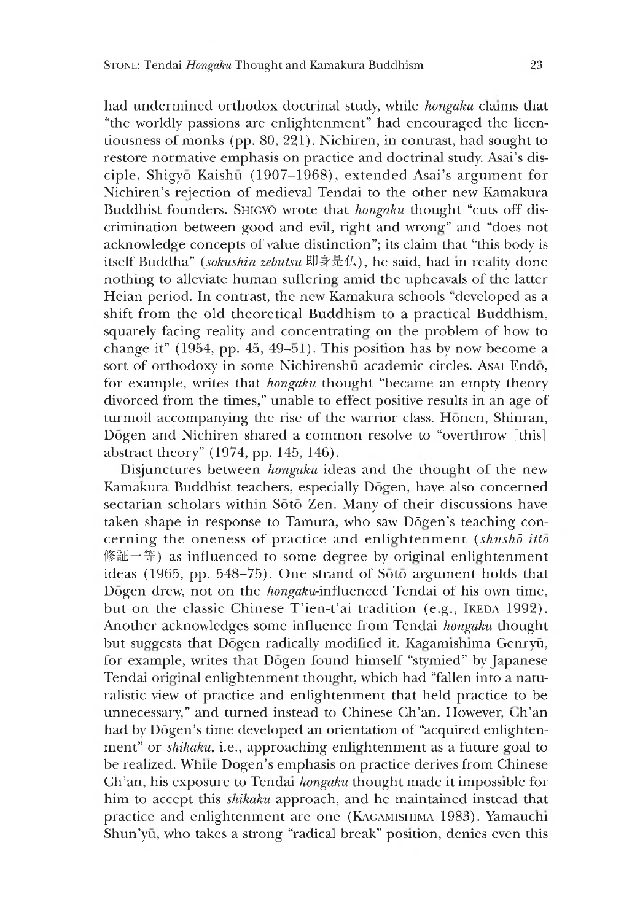had undermined orthodox doctrinal study, while *hongaku* claims that "the worldly passions are enlightenment" had encouraged the licentiousness of monks (pp. 80, 221). Nichiren, in contrast, had sought to restore normative emphasis on practice and doctrinal study. Asai's disciple, Shigyo Kaishu (1907–1968), extended Asai's argument for Nichiren's rejection of medieval Tendai to the other new Kamakura Buddhist founders. Shigyo wrote that *hongaku* thought "cuts off discrimination between good and evil, right and wrong" and "does not acknowledge concepts of value distinction"; its claim that "this body is itself Buddha" (sokushin zebutsu 即身是仏), he said, had in reality done nothing to alleviate human suffering amid the upheavals of the latter Heian period. In contrast, the new Kamakura schools "developed as a shift from the old theoretical Buddhism to a practical Buddhism, squarely facing reality and concentrating on the problem of how to change it"  $(1954, pp. 45, 49-51)$ . This position has by now become a sort of orthodoxy in some Nichirenshu academic circles. Asai Endo, for example, writes that *hongaku* thought "became an empty theory divorced from the times," unable to effect positive results in an age of turmoil accompanying the rise of the warrior class. Honen, Shinran, Dogen and Nichiren shared a common resolve to "overthrow [this] abstract theory" (1974, pp. 145, 146).

Disjunctures between *hongaku* ideas and the thought of the new Kamakura Buddhist teachers, especially Dogen, have also concerned sectarian scholars within Soto Zen. Many of their discussions have taken shape in response to Tamura, who saw Dōgen's teaching concerning the oneness of practice and enlightenment *(shushd itto* 修証一等) as influenced to some degree by original enlightenment ideas (1965, pp. 548–75). One strand of Soto argument holds that Dogen drew, not on the  $hongaku$ -influenced Tendai of his own time, but on the classic Chinese T'ien-t'ai tradition (e.g., IKEDA 1992). Another acknowledges some influence from Tendai *hongaku* thought but suggests that Dogen radically modified it. Kagamishima Genryū, for example, writes that Dogen found himself "stymied" by Japanese Tendai original enlightenment thought, which had "fallen into a naturalistic view of practice and enlightenment that held practice to be unnecessary," and turned instead to Chinese Ch'an. However, Ch'an had by Dōgen's time developed an orientation of "acquired enlightenment" or *shikaku*, i.e., approaching enlightenment as a future goal to be realized. While Dogen's emphasis on practice derives from Chinese Ch'an, his exposure to Tendai *hongaku* thought made it impossible for him to accept this *shikaku* approach, and he maintained instead that practice and enlightenment are one (Kagamishima 1983). Yamauchi Shun'yū, who takes a strong "radical break" position, denies even this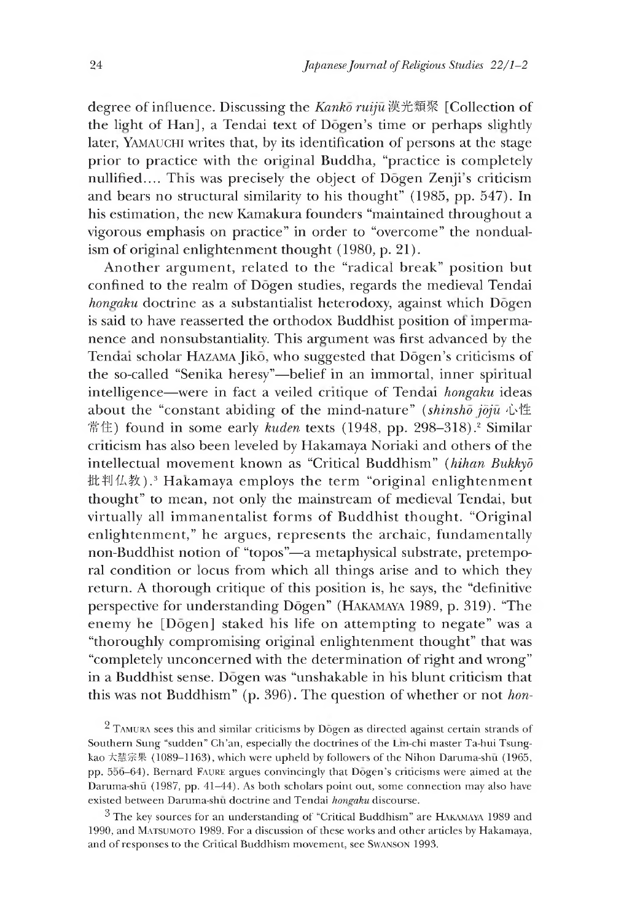degree of influence. Discussing the *Kanko ruiju* 漢光類聚[Collection of the light of Han], a Tendai text of Dogen's time or perhaps slightly later, YAMAUCHI writes that, by its identification of persons at the stage prior to practice with the original Buddha, "practice is completely nullified.... This was precisely the object of Dogen Zenji's criticism and bears no structural similarity to his thought"  $(1985, pp. 547)$ . In his estimation, the new Kamakura founders "maintained throughout a vigorous emphasis on practice" in order to "overcome" the nondualism of original enlightenment thought (1980, p. 21).

Another argument, related to the "radical break" position but confined to the realm of Dogen studies, regards the medieval Tendai *hongaku* doctrine as a substantialist heterodoxy, against which Dogen is said to have reasserted the orthodox Buddhist position of impermanence and nonsubstantiality. This argument was first advanced by the Tendai scholar HAZAMA Jikō, who suggested that Dōgen's criticisms of the so-called "Senika heresy"-belief in an immortal, inner spiritual intelligence—were in fact a veiled critique of Tenaai *hongaku* ideas about the "constant abiding of the mind-nature" *(shinsho joju* 心性 常住) found in some early *kuden* texts (1948, pp. 298-318).<sup>2</sup> Similar criticism has also been leveled by Hakamaya Noriaki and others of the intellectual movement known as "Critical Buddhism" *(hihan Bukkyd* 批判仏教).<sup>3</sup> Hakamaya employs the term "original enlightenment thought" to mean, not only the mainstream of medieval Tendai, but virtually all immanentalist forms of Buddhist thought. "Original enlightenment," he argues, represents the archaic, fundamentally non-Buddhist notion of "topos"-a metaphysical substrate, pretemporal condition or locus from which all things arise and to which they return. A thorough critique of this position is, he says, the "definitive perspective for understanding Dōgen" (HAKAMAYA 1989, p. 319). "The enemy he [Dōgen] staked his life on attempting to negate" was a "thoroughly compromising original enlightenment thought" that was "completely unconcerned with the determination of rieht and wrong" in a Buddhist sense. Dogen was "unshakable in his blunt criticism that this was not Buddhism" (p. 396). The question of whether or not *hon-*

<sup>2</sup> TAMURA sees this and similar criticisms by Dogen as directed against certain strands of Southern Sung "sudden" Ch'an, especially the doctrines of the Lm-chi master Ta-hui Tsungkao 大慧宗果 (1089-1163), which were upheld by followers of the Nihon Daruma-shū (1965, pp. 556–64). Bernard FAURE argues convincingly that Dogen's criticisms were aimed at the Daruma-shu (1987, pp. 41-44). As both scholars point out, some connection may also have existed between Daruma-shu doctrine and Tendai *hongaku* discourse.

**3 The key sources for an understanding of "Critical Buddhism" are Hakamaya 1989 and** 1990, and MATSUMOTO 1989. For a discussion of these works and other articles by Hakamaya, and of responses to the Critical Buddhism movement, see SWANSON 1993.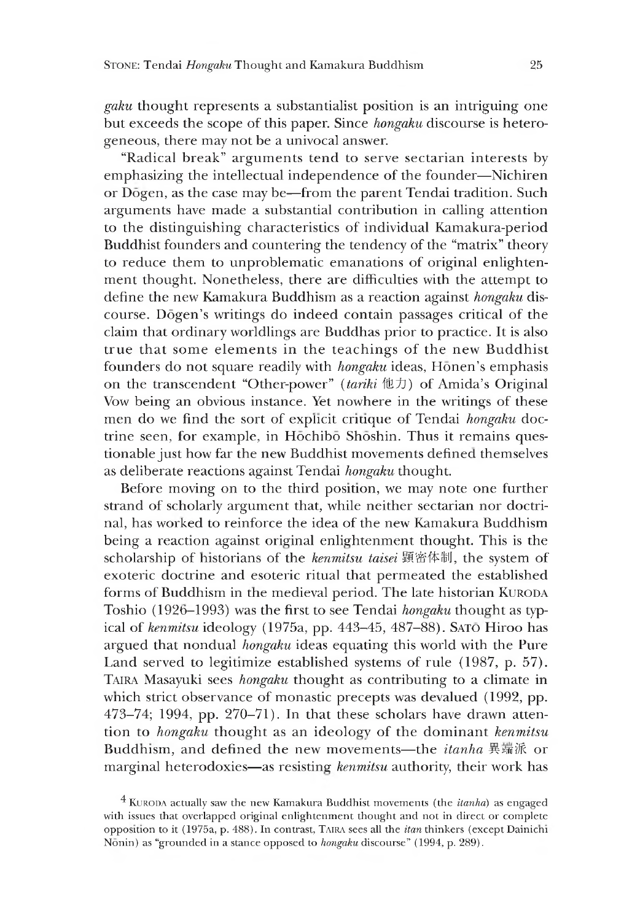*gaku* thought represents a substantialist position is an intriguing one but exceeds the scope of this paper. Since *hongaku* discourse is heterogeneous, there may not be a univocal answer.

"Radical break" arguments tend to serve sectarian interests by emphasizing the intellectual independence of the founder—Nichiren or Dogen, as the case may be—from the parent Tendai tradition. Such arguments have made a substantial contribution in calling attention to the distinguishing characteristics of individual Kamakura-period Buddhist founders and countering the tendency of the "matrix" theory to reduce them to unproblematic emanations of original enlightenment thought. Nonetheless, there are difficulties with the attempt to define the new Kamakura Buddhism as a reaction against *hongaku* discourse. Dōgen's writings do indeed contain passages critical of the claim that ordinary worldlings are Buddhas prior to practice. It is also true that some elements in the teachings of the new Buddhist founders do not square readily with *hongaku* ideas, Honen's emphasis on the transcendent "Other-power" *(tariki* 他力) of Amida's Original Vow being an obvious instance. Yet nowhere in the writings of these men do we find the sort of explicit critique of Tendai *hongaku* doctrine seen, for example, in Hochibo Shoshin. Thus it remains questionable just how far the new Buddhist movements defined themselves as deliberate reactions against Tenaai *hongaku* thought.

Before moving on to the third position, we may note one further strand of scholarly argument that, while neither sectarian nor doctrinal, has worked to reinforce the idea of the new Kamakura Buddhism being a reaction against original enlightenment thought. This is the scholarship of historians of the *kenmitsu taisei* 顕密体制, the system of exoteric doctrine and esoteric ritual that permeated the established forms of Buddhism in the medieval period. The late historian KURODA Toshio (192b-1993) was the first to see Tendai *hongaku* thought as typical of *kenmitsu* ideology (1975a, pp. 443-45, 487-88). SATO Hiroo has argued that nondual *hongaku* ideas equating this world with the Pure Land served to legitimize established systems of rule (1987, p. 57). Taira Masayuki sees *hongaku* thoueht as contributing to a climate in which strict observance of monastic precepts was devalued (1992, pp. 473-74; 1994, pp.  $270-71$ ). In that these scholars have drawn attention to *hongaku* thought as an ideology of the dominant *kenmitsu* Buddhism, and defined the new movements—the *itanha* 異端派 or marginal heterodoxies—as resisting *kenmitsu* authority, their work has

**<sup>4</sup> Kuroda actually saw the new Kamakura Buddhist movements (the** *itanha)* **as engaged** with issues that overlapped original enlightenment thought and not in direct or complete **opposition to it (1975a, p. 488). In contrast, Taira sees all the** *itan* **thinkers (except Dainicni** Nonin) as "grounded in a stance opposed to *hongaku* discourse" (1994, p. 289).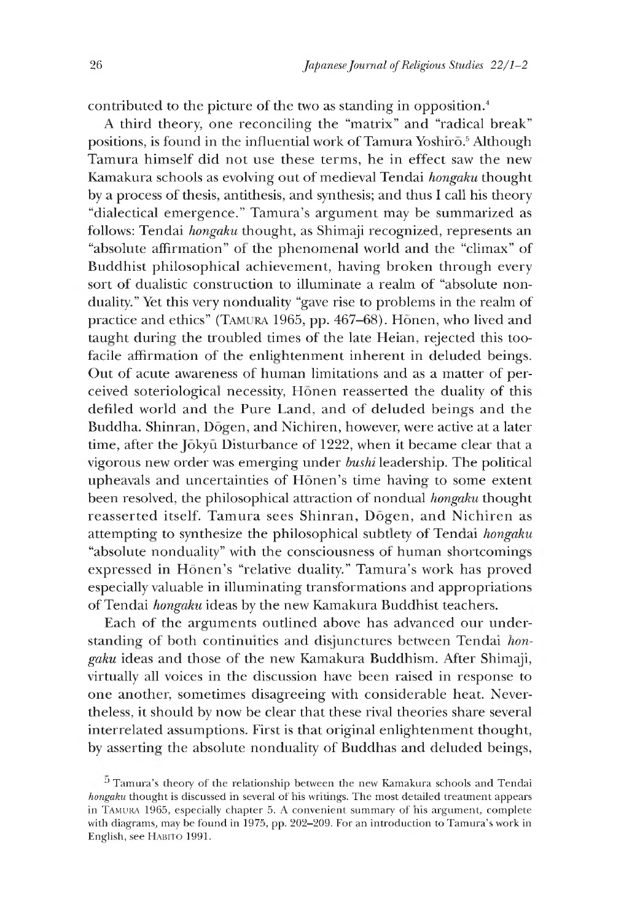contributed to the picture of the two as standing in opposition.4

A third theory, one reconciling the "matrix" and "radical break" positions, is found in the influential work of Tamura Yoshirō.<sup>5</sup> Although Tamura himself did not use these terms, he in effect saw the new Kamakura schools as evolving out of medieval Tendai *hongaku* thought by a process of thesis, antithesis, and synthesis; and thus I call his theory "dialectical emergence." Tamura's argument may be summarized as follows: Tendai *hongaku* thought, as Shimaji recognized, represents an "absolute affirmation" of the phenomenal world and the "climax" of Buddhist philosophical achievement, having broken through every sort of dualistic construction to illuminate a realm of "absolute nonduality. " Yet this very nonduality "gave rise to problems in the realm of practice and ethics" (TAMURA 1965, pp. 467-68). Honen, who lived and taught during the troubled times of the late Heian, rejected this toofacile affirmation of the enlightenment inherent in deluded beings. Out of acute awareness of human limitations and as a matter of perceived soteriological necessity, Honen reasserted the duality of this defiled world and the Pure Land, and of deluded beings and the Buddha. Shinran, Dogen, and Nichiren, however, were active at a later time, after the Jōkyū Disturbance of 1222, when it became clear that a vigorous new order was emerging under *bushi* leadership. The political upheavals and uncertainties of Hōnen's time having to some extent been resolved, the philosophical attraction of nondual *hongaku* thought reasserted itself. Tamura sees Shinran, Dogen, and Nichiren as attempting to synthesize the philosophical subtlety of Tenaai *hongaku* "absolute nonduality" with the consciousness of human shortcomings expressed in Hōnen's "relative duality." Tamura's work has proved especially valuable in illuminating transformations and appropriations of Tendai *hongaku* ideas by the new Kamakura Buddnist teachers.

Each of the arguments outlined above has advanced our understanding of both continuities and disjunctures between Tendai *hongaku* ideas and those of the new Kamakura Buddhism. After Shimaji, virtually all voices in the discussion have been raised in response to one another, sometimes disagreeing with considerable heat. Nevertheless, it should by now be clear that these rival theories share several interrelated assumptions. First is that original enlightenment thought, by asserting the absolute nonduality of Buddhas and deluded beings,

*<sup>3</sup>* Tamura **s** theory **of the relationship** between **the new** Kamakura schools and Tendai *hongaku* thought is discussed in several of his writings. The most detailed treatment appears **in Tamura 1965, especially chapter 5. A convenient summary of ms argument, complete** with diagrams, may be found in 1975, pp. 202-209. For an introduction to Tamura's work in **English, see Habito 1991.**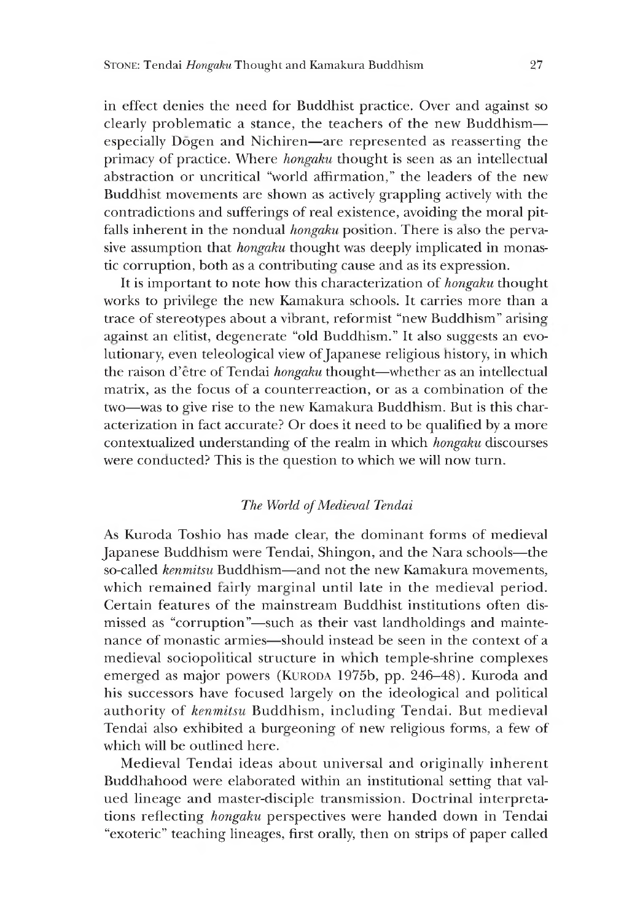in effect denies the need for Buddhist practice. Over and against so clearly problematic a stance, the teachers of the new Buddhismespecially Dogen and Nichiren—are represented as reasserting the primacy of practice. Where *hongaku* thought is seen as an intellectual abstraction or uncritical "world affirmation," the leaders of the new Buddhist movements are shown as actively grappling actively with the contradictions and sufferines of real existence, avoiding the moral pitfalls inherent in the nondual *hongaku* position. There is also the pervasive assumption that *hongaku* thought was deeply implicated in monastic corruption, both as a contributing cause and as its expression.

It is important to note how this characterization of *hongaku* thoueht works to privilege the new Kamakura schools. It carries more than a trace of stereotypes about a vibrant, reformist "new Buddhism" arising against an elitist, degenerate "old Buddhism." It also suggests an evolutionary, even teleological view of Japanese religious history, in which the raison d'être of Tendai *hongaku* thought—whether as an intellectual matrix, as the focus of a counterreaction, or as a combination of the two—was to give rise to the new Kamakura Buddhism. But is this characterization in fact accurate? Or does it need to be qualified by a more contextualized understanding of the realm in which *hongaku* discourses were conducted? This is the question to which we will now turn.

## *The World of Medieval Tendai*

As Kuroda Toshio has made clear, the dominant forms of medieval Japanese Buddhism were Tendai, Shingon, and the Nara schools—the so-called *kenmitsu* Buddhism—and not the new Kamakura movements, which remained fairly marginal until late in the medieval period. Certain features of the mainstream Buddhist institutions often dismissed as "corruption"—such as their vast landholdings and maintenance of monastic armies—should instead be seen in the context of a medieval sociopolitical structure in which temple-shrine complexes emerged as major powers (KURODA 1975b, pp. 246-48). Kuroda and his successors have focused largely on the ideological and political authority of *kenmitsu* Buddhism, including Tendai. But medieval Tendai also exhibited a burgeoning of new religious forms, a few of which will be outlined here.

Medieval Tendai ideas about universal and originally inherent Buddhahood were elaborated within an institutional setting that valued lineage and master-disciple transmission. Doctrinal interpretations reflecting *hongaku* perspectives were handed down in Tendai "exoteric" teaching lineages, first orally, then on strips of paper called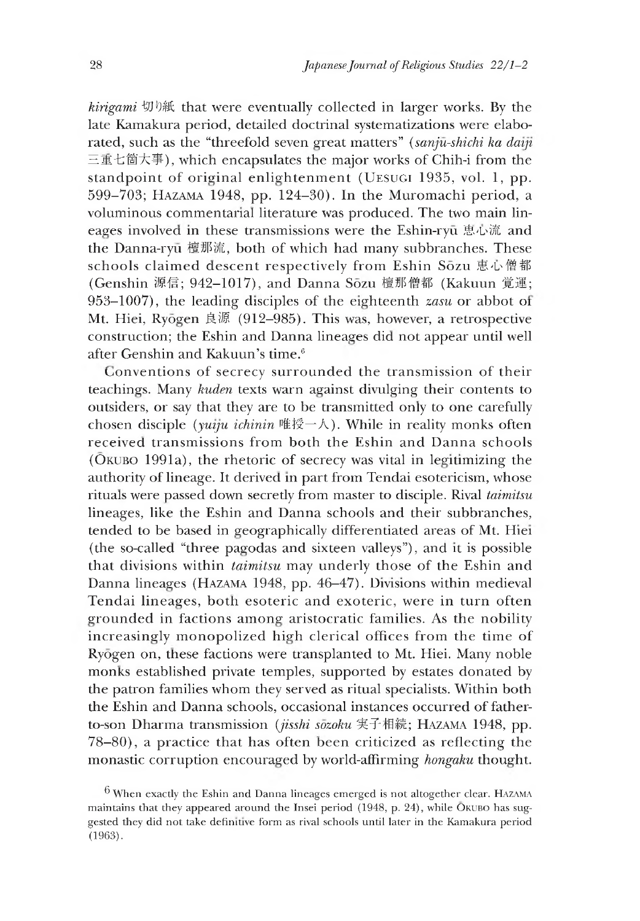*kirigami* 切り紙 that were eventually collected in larger works. By the late Kamakura period, detailed doctrinal systematizations were elaborated, such as the "threefold seven great matters" *(sanju-shichi ka daiji*) 三直七箇大事),which encapsulates the major works of Chih-i from the standpoint of original enlightenment (UESUGI 1935, vol. 1, pp. 599-703; Hazama 1948 pp. 124-30). In the Muromachi period, a voluminous commentarial literature was produced. The two main lineages involved in these transmissions were the Eshin-ryū 恵心流 and the Danna-ryū 檀那流, both of which had many subbranches. These schools claimed descent respectively from Eshin Sōzu 恵心僧都 (Genshin 源信; 942-1017), and Danna Sozu 檀那僧都 (Kakuun 覚運; 953-1007), the leading disciples of the eighteenth *zasu* or abbot of Mt. Hiei, Ryōgen 良源 (912–985). This was, however, a retrospective construction; the Eshin and Danna lineages did not appear until well after Genshin and Kakuun's time.<sup>6</sup>

conventions of secrecy surrounded the transmission of their teachings. Many *kuden* texts warn against divulging their contents to outsiders, or say that they are to be transmitted only to one carefully chosen disciple *(yuiju ichinin* 唯授一人). While in reality monks often received transmissions from both the Eshin and Danna schools  $(ÕKUBO 1991a)$ , the rhetoric of secrecy was vital in legitimizing the authority of lineage. It derived in part from Tendai esotericism, whose rituals were passed down secretly from master to disciple. Rival *taimitsu* lineages, like the Eshin and Danna schools and their subbranches, tended to be based in geographically differentiated areas of Mt. Hiei (the so-called "three pagodas and sixteen valleys"), and it is possible that divisions within *taimitsu* may underly those of the Eshin and Danna lineages (HAZAMA 1948, pp. 46-47). Divisions within medieval Tendai lineages, both esoteric and exoteric, were in turn often grounded in factions among aristocratic families. As the nobility increasingly monopolized high clerical offices from the time of Ryogen on, these factions were transplanted to Mt. Hiei. Many noble monks established private temples, supported by estates donated by the patron families whom they served as ritual specialists. Within both the Eshin and Danna schools, occasional instances occurred of fatherto-son Dharma transmission (*jisshi sozoku* 実子相続; HAZAMA 1948, pp. 78-80), a practice that has often been criticized as reflecting the monastic corruption encouraged by world-affirming *hongaku* thought.

**<sup>6</sup> When exactly the Eshin and Danna lineages emerged is not altogether clear. Hazama** maintains that they appeared around the Insei period (1948, p. 24), while OKUBO has suggested they did not take definitive form as rival schools until later in the Kamakura period **(1963).**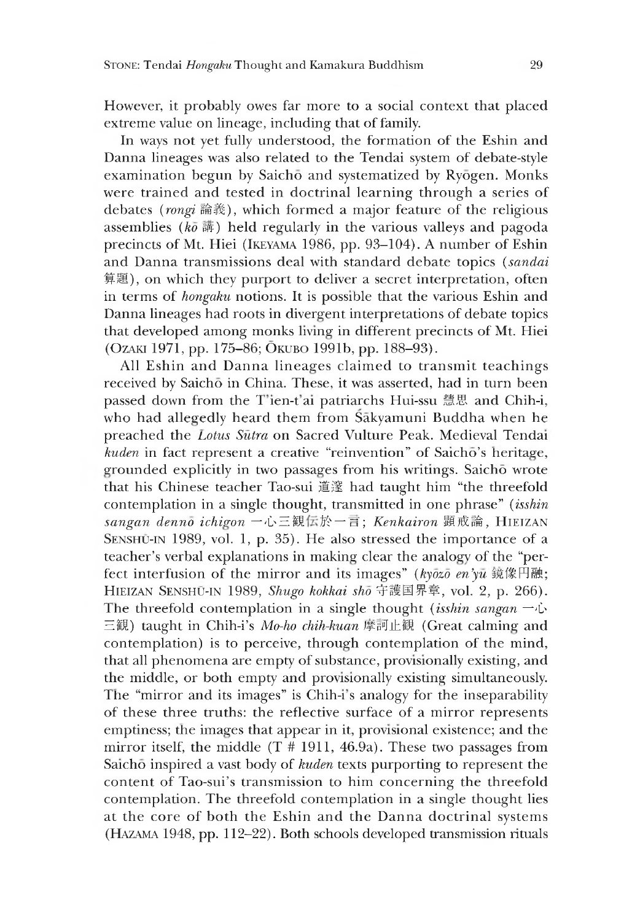However, it probably owes far more to a social context that placed extreme value on lineage, including that of family.

In ways not yet fully understood, the formation of the Eshin and Danna lineages was also related to the Tendai system of debate-style examination begun by Saicho and systematized by Ryogen. Monks were trained and tested in doctrinal learning through a series of debates (*rongi* 論義),which formed a major feature of the religious assemblies  $(k\bar{o} \ddot{\overline{a}})$  held regularly in the various valleys and pagoda precincts of Mt. Hiei (IKEYAMA 1986, pp. 93-104). A number of Eshin and Danna transmissions deal with standard debate topics *(sandai* 算題), on which they purport to deliver a secret interpretation, often in terms of *hongaku* notions. It is possible that the various Eshin and Danna lineages had roots in divergent interpretations of debate topics that developed among monks living in different precincts of Mt. Hiei (Ozaki 1971 pp. 175-86; Okubo 1991b, pp. 188-93).

All Eshin and Danna lineages claimed to transmit teachings received by Saichō in China. These, it was asserted, had in turn been passed down from the T'ien-t'ai patriarchs Hui-ssu 慧思 and Chih-i, who had allegedly heard them from Sakyamuni Buddha when he preached the *Lotus Sutra* on Sacred Vulture Peak. Medieval Tendai  $\hat{k}$ uden in fact represent a creative "reinvention" of Saichō's heritage, grounded explicitly in two passages from his writings. Saicho wrote that his Chinese teacher Tao-sui 道邃 had taught him "the threefold contemplation in a single thought, transmitted in one phrase" *(isshin sangan denno i chi o'on* 一心三観 於一言*;Kenkairon* 顕戒論,Hieizan SENSHŪ-IN 1989, vol. 1, p. 35). He also stressed the importance of a teacher's verbal explanations in making clear the analogy of the "perfect interfusion of the mirror and its images" *(kyozo en'yu* 減像円鬲虫; HIEIZAN SENSHŪ-IN 1989, Shugo kokkai shō 守護国界章, vol. 2, p. 266). Ihe threefold contemplation in a single thought *(isshin sangan* 一心 三観) taught in Chih-i's *Mo-ho chih-kuan* 摩訶止観 (Great calming and contemplation) is to perceive, through contemplation of the mind, that all phenomena are empty of substance, provisionally existing, and the middle, or both empty and provisionally existing simultaneously. The "mirror and its images" is Chih-i's analogy for the inseparability of these three truths: the reflective surface of a mirror represents emptiness; the images that appear in it, provisional existence; and the mirror itself, the middle  $(T^{\frac{1}{\#}}1911, 46.9a)$ . These two passages from Saicho inspired a vast body of *kuden* texts purporting to represent the content of Tao-sui's transmission to him concerning the threefold contemplation. The threefold contemplation in a single thought lies at the core of both the Eshin and the Danna doctrinal systems (Hazama 1948 pp. 112-22). Both schools developed transmission rituals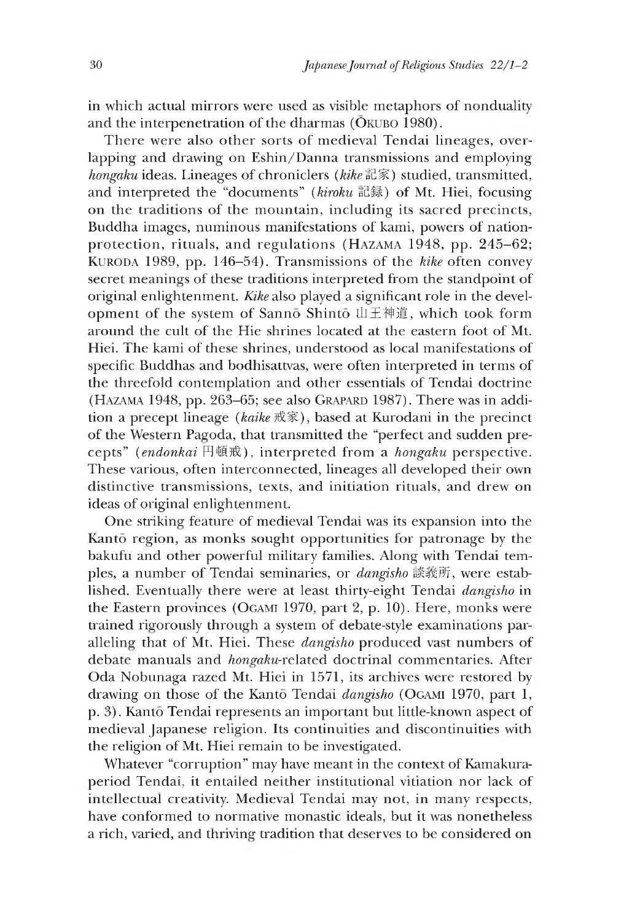in which actual mirrors were used as visible metaphors of nonduality and the interpenetration of the dharmas (Okubo 1980).

There were also other sorts of medieval Tendai lineages, overlapping and drawing on Eshin/Danna transmissions and employing *hongaku* ideas. Lineages of chroniclers *(kike*記家) studied, transmitted, and interpreted the "documents" (*kiroku* 記録) of Mt. Hiei, focusing on the traditions of the mountain, including its sacred precincts, Buddha images, numinous manifestations of kami, powers of nationprotection, rituals, and regulations (HAZAMA 1948, pp. 245-62; KURODA 1989, pp. 146-54). Transmissions of the *kike* often convey secret meanings of these traditions interpreted from the standpoint of original enlightenment. *Kike* also played a significant role in the development of the system of Sanno Shinto 山王神道, which took form around the cult of the Hie shrines located at the eastern foot of Mt. Hiei. The kami of these shrines, understood as local manifestations of specific Buddhas and bodhisattvas, were often interpreted in terms of the threefold contemplation and other essentials of Tendai doctrine (Hazama 1948 pp. 263-65; see also Grapard 1987). There was in addition a precept lineaee *(kaike 傲家*), based at Kurodani in the precinct of the Western Pagoda, that transmitted the "perfect and sudden precepts" (endonkai 円頓戒), interpreted from a *hongaku* perspective. These various, often interconnected, lineages all developed their own distinctive transmissions, texts, and initiation rituals, and drew on ideas of original enlightenment.

One striking feature of medieval Tendai was its expansion into the Kantō region, as monks sought opportunities for patronage by the bakufu and other powerful military families. Along with Tendai temples, a number of Tendai seminaries, or *dangisho* 談義所,were established. Eventually there were at least thirty-eight Tendai *dangisho* in the Eastern provinces (OGAMI 1970, part  $2$ , p. 10). Here, monks were trained rigorously through a system of debate-style examinations paralleling that of Mt. Hiei. These *dangisho* produced vast numbers of debate manuals and *hongaku-related* doctrinal commentaries. After Oda Nobunaga razed Mt. Hiei in 1571, its archives were restored by drawing on those of the Kanto Tendai *dangisho* (OGAMI 1970, part 1, p. 3). Kanto Tendai represents an important but little-known aspect of medieval Japanese religion. Its continuities and discontinuities with the religion of Mt. Hiei remain to be investigated.

Whatever "corruption" may have meant in the context of Kamakuraperiod Tendai, it entailed neither institutional vitiation nor lack of intellectual creativity. Medieval Tendai may not, in many respects, have conformed to normative monastic ideals, but it was nonetheless a rich, varied, and thriving tradition that deserves to be considered on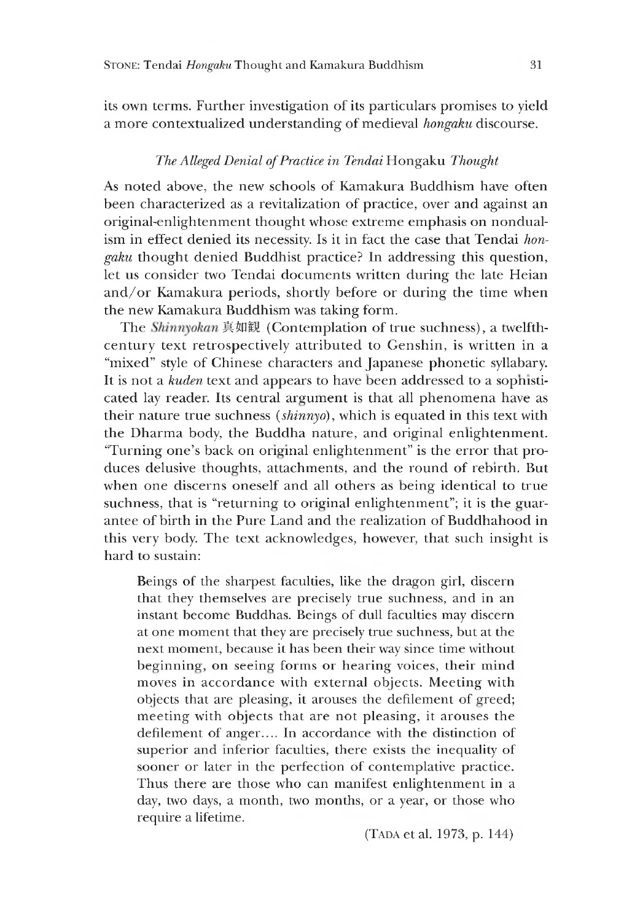its own terms. Further investigation of its particulars promises to yield a more contextualized understanding of medieval *hongaku* discourse.

# *The Alleged Denial of Practice in Tendai* Hongaku *Thought*

As noted above, the new schools of Kamakura Buddhism have often been characterized as a revitalization of practice, over and against an original-enlightenment thought whose extreme emphasis on nondualism in effect denied its necessity. Is it in fact the case that Tendai *hongaku* thought denied Buddhist practice? In addressing this question, let us consider two Tendai documents written during the late Heian and/or Kamakura periods, shortly before or during the time when the new Kamakura Buddhism was taking form.

The Shinnyokan 真如観 (Contemplation of true suchness), a twelfthcentury text retrospectively attributed to Genshin, is written in a "mixed" style of Chinese characters and Japanese phonetic syllabary. It is not a *kuden* text and appears to have been addressed to a sopnisticated lay reader. Its central argument is that all phenomena have as their nature true suchness *(shinnyo),* which is equated in this text with the Dharma body, the Buddha nature, and original enlightenment. "Turning one's back on original enlightenment" is the error that produces delusive thoughts, attachments, and the round of rebirth. But when one discerns oneself and all others as being identical to true suchness, that is "returning to original enlightenment"; it is the guarantee of birth in the Pure Land and the realization of Buddhahood in this very body. The text acknowledges, however, that such insight is hard to sustain:

Beings of the sharpest faculties, like the dragon girl, discern that they themselves are precisely true suchness, and in an instant become Buddhas. Beings of dull faculties may discern at one moment that they are precisely true suchness, but at the next moment, because it has been their way since time without beginning, on seeing forms or hearing voices, their mind moves in accordance with external objects. Meeting with objects that are pleasing, it arouses the defilement of greed; meeting with objects that are not pleasing, it arouses the defilement of anger.... In accordance with the distinction of superior and inferior faculties, there exists the inequality of sooner or later in the perfection of contemplative practice. Thus there are those who can manifest enlightenment in a day, two days, a month, two months, or a year, or those who require a lifetime.

(TADA et al. 1973, p. 144)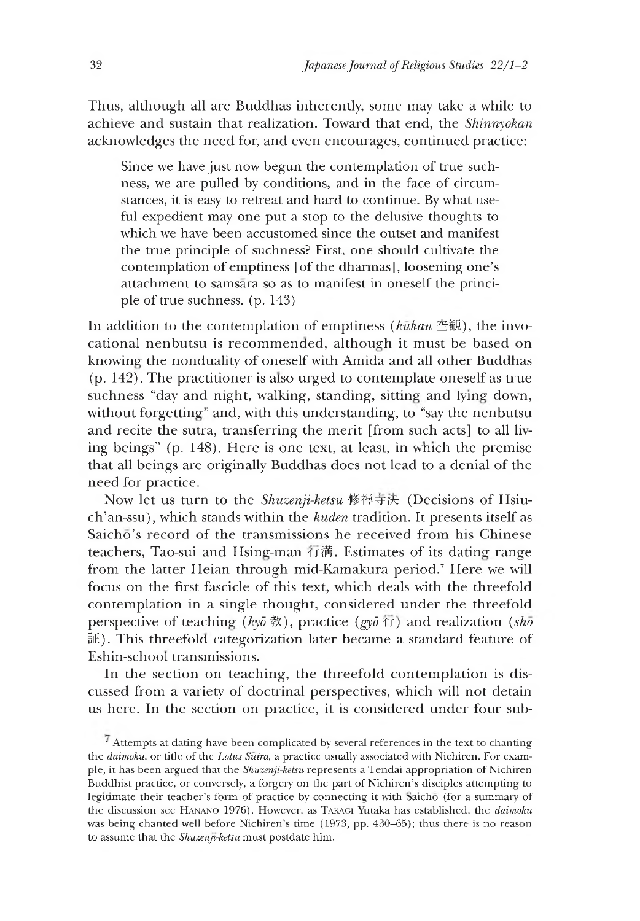Thus, although all are Buddhas inherently, some may take a while to achieve and sustain that realization. Toward that end, the *Shinnyokan* acknowledges the need for, and even encourages, continued practice:

Since we have just now begun the contemplation of true suchness, we are pulled by conditions, and in the face of circumstances, it is easy to retreat and hard to continue. By what useful expedient may one put a stop to the delusive thoughts to which we have been accustomed since the outset and manifest the true principle of suchness? First, one should cultivate the contemplation of emptiness [of the dharmas], loosening one's attachment to samsara so as to manifest in oneself the principle of true suchness. (p. 143)

In addition to the contemplation of emptiness *(kukan* 空観), the invocational nenbutsu is recommended, although it must be based on knowing the nonduality of oneself with Amida and all other Buddhas (p. 142). The practitioner is also urged to contemplate oneself as true suchness "day and night, walking, standing, sitting and lying down, without forgetting" and, with this understanding, to "say the nenbutsu and recite the sutra, transferring the merit [from such acts] to all living beings" (p. 148). Here is one text, at least, in which the premise that all beings are originally Buddhas does not lead to a denial of the need for practice.

Now let us turn to the *Shuzenji-ketsu* 修禅寺決 (Decisions of Hsiuch'an-ssu),which stands within the *kuden* tradition. It presents itself as Saicho's record of the transmissions he received from his Chinese teachers, Tao-sui and Hsing-man 行満. Estimates of its dating range from the latter Heian through mid-Kamakura period.7 Here we will focus on the first fascicle of this text, which deals with the threefold contemplation in a single thought, considered under the threefold perspective of teaching (kyō 教), practice (gyō 行) and realization *(shō*) ). This threefold categorization later became a standard feature of Eshin-school transmissions.

In the section on teaching, the threefold contemplation is discussed from a variety of doctrinal perspectives, which will not detain us here. In the section on practice, it is considered under four sub-

<sup>•</sup> **Attempts at dating have been** complicated **by** several references **in the text** to chanting the *daimoku,* or title of the *Lotus Sutra,* a practice usually associated with Nichiren. For example, it has been argued that the *Shuzenji-ketsu* represents a Tendai appropriation of Nichiren Buddhist practice, or conversely, a forgery on the part of Nichiren's disciples attempting to legitimate their teacher's form of practice by connecting it with saicho (for a summary of **the discussion see Hanano 1976). However, as Takagi Yutaka has established, the** *daimoku* was being chanted well before Nichiren's time (1973, pp. 430-65); thus there is no reason to assume that the *Shuzenji-ketsu* must postdate him.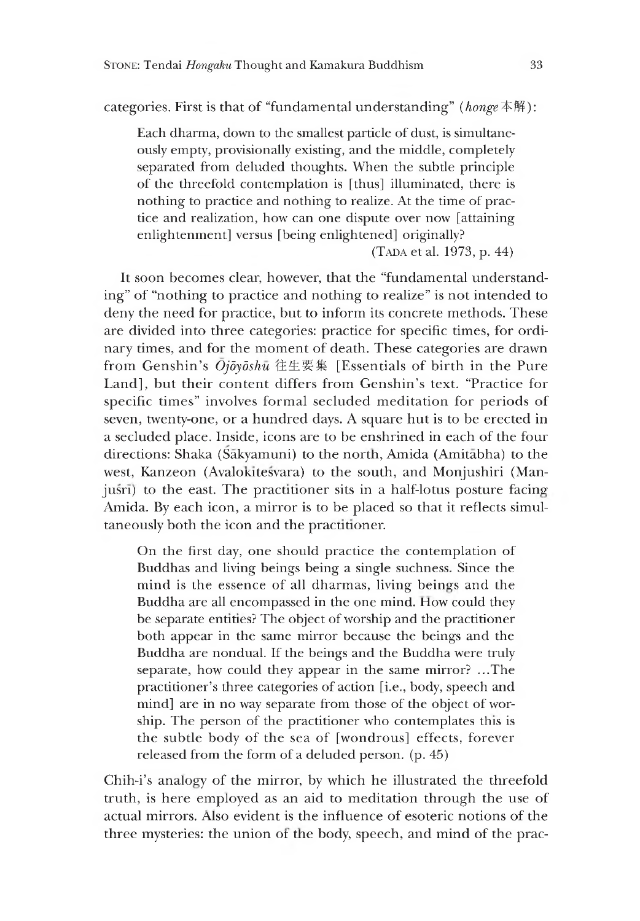categories. First is that of "fundamental understanding" (honge 本解):

Each dharma, down to the smallest particle of dust, is simultaneously empty, provisionally existing, and the middle, completely separated from deluded thoughts. When the subtle principle of the threefold contemplation is [thus] illuminated, there is nothing to practice and nothing to realize. At the time of practice and realization, how can one dispute over now [attaining enlightenment] versus [being enlightened] originally?

(Tada et al. 1973 p. 44)

It soon becomes clear, however, that the "fundamental understanding" of "nothing to practice and nothing to realize" is not intended to deny the need for practice, but to inform its concrete methods. These are divided into three categories: practice for specific times, for ordinary times, and for the moment of death. These categories are drawn from Genshin's  $\overline{\text{O}}$ *jō*yōshū 往生要集 [Essentials of birth in the Pure Land], but their content differs from Genshin's text. "Practice for specific times" involves formal secluded meditation for periods of seven, twenty-one, or a hundred days. A square hut is to be erected in a secluded place. Inside, icons are to be enshrined in each of the four directions: Shaka (Sakyamuni) to the north, Amida (Amitabha) to the west, Kanzeon (Avalokitesvara) to the south, and Monjushiri (Manjusn<sup>7</sup>) to the east. The practitioner sits in a half-lotus posture facing Amida. By each icon, a mirror is to be placed so that it reflects simultaneously both the icon and the practitioner.

On the first day, one should practice the contemplation of Buddhas and living beings being a single suchness. Since the mind is the essence of all dharmas, living beings and the Buddha are all encompassed in the one mind. How could they be separate entities? The object of worship and the practitioner both appear in the same mirror because the beings and the Buddha are nondual. If the beings and the Buddha were truly separate, how could they appear in the same mirror? ...The practitioner's three categories of action [i.e., body, speech and mind] are in no way separate from those of the object of worship. The person of the practitioner who contemplates this is the subtle body of the sea of [wondrous] effects, forever released from the form of a deluded person, (p. 45)

Chih-i's analogy of the mirror, by which he illustrated the threefold truth, is here employed as an aid to meditation through the use of actual mirrors. Also evident is the influence of esoteric notions of the three mysteries: the union of the body, speech, and mind of the prac-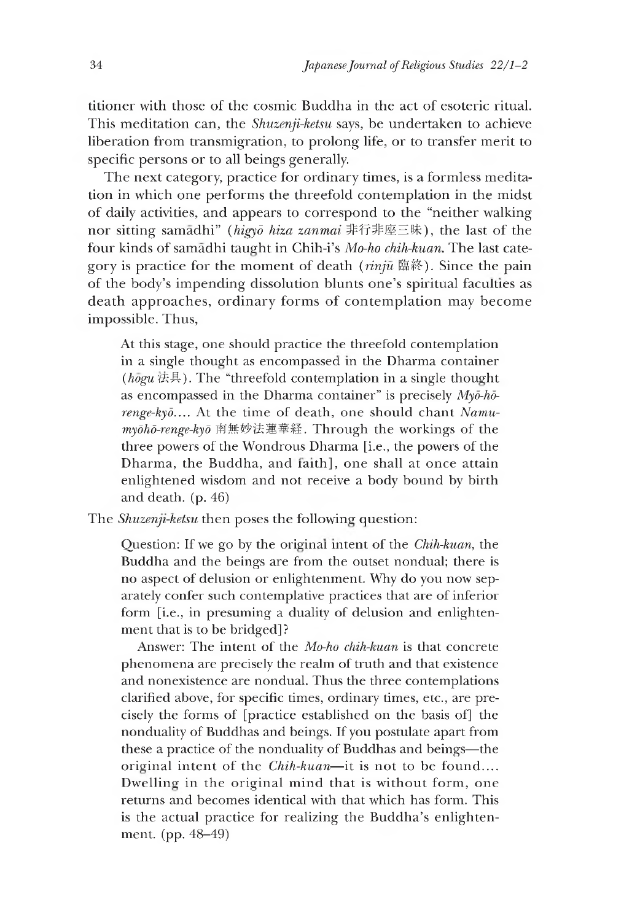titioner with those of the cosmic Buddha in the act of esoteric ritual. This meditation can, the *Shuzenji-ketsu* says, be undertaken to achieve liberation from transmigration, to prolong life, or to transfer merit to specific persons or to all beings generally.

The next category, practice for ordinary times, is a formless meditation in which one performs the threefold contemplation in the midst of daily activities, and appears to correspond to the "neither walking nor sitting samadhi" (higyō hiza zanmai 非行非座三昧), the last of the four kinds of samadhi taught in Chih-i's *Mo-ho chih-kuan*. The last category is practice for the moment of death *(rinju* 臨終). Since the pain of the body's impending dissolution blunts one's spiritual faculties as death approaches, ordinary forms of contemplation may become impossible. Thus,

At this stage, one should practice the threefold contemplation in a single thought as encompassed in the Dharma container *(hogu* 法具). The "threefold contemplation in a single thought as encompassed in the Dharma container" is precisely *Myd-hdrenge-kyd....* At the time of death, one should chant *Namumydhd-renge-kyd* 南無妙法蓮華経. Through the workings of the three powers of the Wondrous Dharma [i.e., the powers of the Dharma, the Buddha, and taith], one shall at once attain enlightened wisdom and not receive a body bound by birth and death, (p. 46)

The *Shuzenji-ketsu* then poses the following question:

Question: If we go by the original intent of the *Chih-kuan,* the Buddha and the beings are from the outset nondual; there is no aspect of delusion or enlightenment. Why do you now separately confer such contemplative practices that are of inferior form [i.e., in presuming a duality of delusion and enlightenment that is to be bridged]?

Answer: The intent of the *Mo-ho chih-kuan* is that concrete phenomena are precisely the realm of truth and that existence and nonexistence are nondual. Thus the three contemplations clarified above, for specific times, ordinary times, etc., are precisely the forms of [practice established on the basis of] the nonduality of Buddhas and beings. If you postulate apart from these a practice of the nonduality of Buddhas and beings—the original intent of the *Chih-kuan*—it is not to be found.... Dwelling in the original mind that is without form, one returns and becomes identical with that which has form. This is the actual practice for realizing the Buddha's enlightenment. (pp.48-49)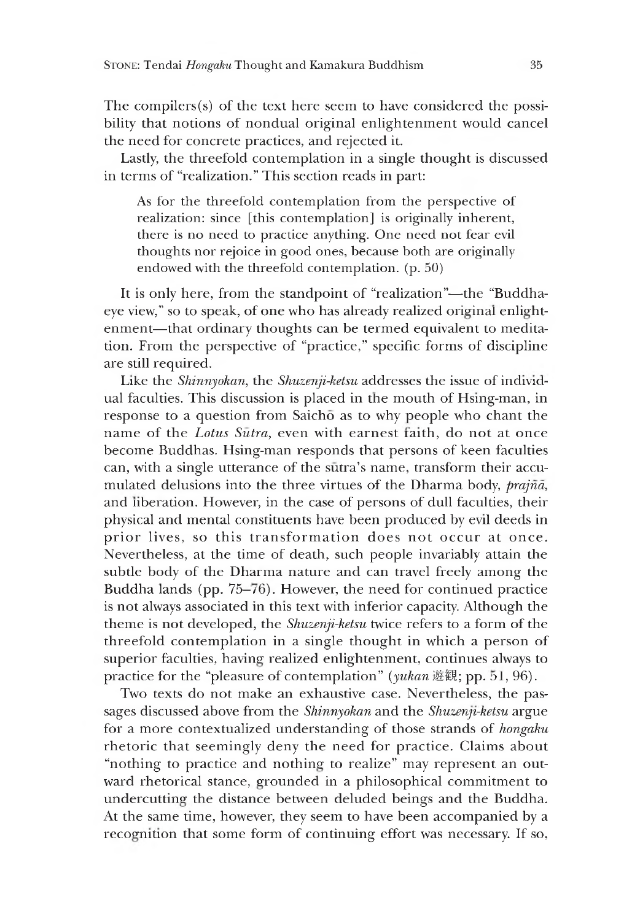The compilers(s) of the text here seem to have considered the possibility that notions of nondual original enlightenment would cancel the need for concrete practices, and rejected it.

Lastly, the threefold contemplation in a single thought is discussed in terms of "realization." This section reads in part:

As for the threefold contemplation from the perspective of realization: since [this contemplation] is originally inherent, there is no need to practice anything. One need not fear evil thoughts nor rejoice in good ones, because both are originally endowed with the threefold contemplation, (p. 50)

It is only here, from the standpoint of "realization"-the "Buddhaeye view," so to speak, of one who has already realized original enlightenment-that ordinary thoughts can be termed equivalent to meditation. From the perspective of "practice," specific forms of discipline are still required.

Like the *Shinnyokan*, the *Shuzenji-ketsu* addresses the issue of individual faculties. This discussion is placed in the mouth of Hsmg-man, in response to a question from Saicho as to why people who chant the name of the *Lotus Sutra*, even with earnest faith, do not at once become Buddhas. Hsing-man responds that persons of keen faculties can, with a single utterance of the sutra's name, transform their accumulated delusions into the three virtues of the Dharma body, *prajna,* and liberation. However, in the case of persons of dull faculties, their physical and mental constituents have been produced by evil deeds in prior lives, so this transformation does not occur at once. Nevertheless, at the time of death, such people invariably attain the subtle body of the Dharma nature and can travel freely among the Buddha lands (pp. 75–76). However, the need for continued practice is not always associated in this text with inferior capacity. Although the theme is not developed, the *Shuzenji-ketsu* twice refers to a form of the threefold contemplation in a single thought in which a person of superior faculties, having realized enlightenment, continues always to practice for the "pleasure of contemplation" (yukan遊観; pp. 51, 96).

Two texts do not make an exhaustive case. Nevertheless, the passages discussed above from the *Shinnyokan* and the *Shuzenji-ketsu* argue for a more contextualized understanding of those strands of *hongaku* rhetoric that seemingly deny the need for practice. Claims about "nothing to practice and nothing to realize" may represent an outward rhetorical stance, grounded in a philosophical commitment to undercutting the distance between deluded beings and the Buddha. At the same time, however, they seem to have been accompanied by a recognition that some form of continuing effort was necessary. If so,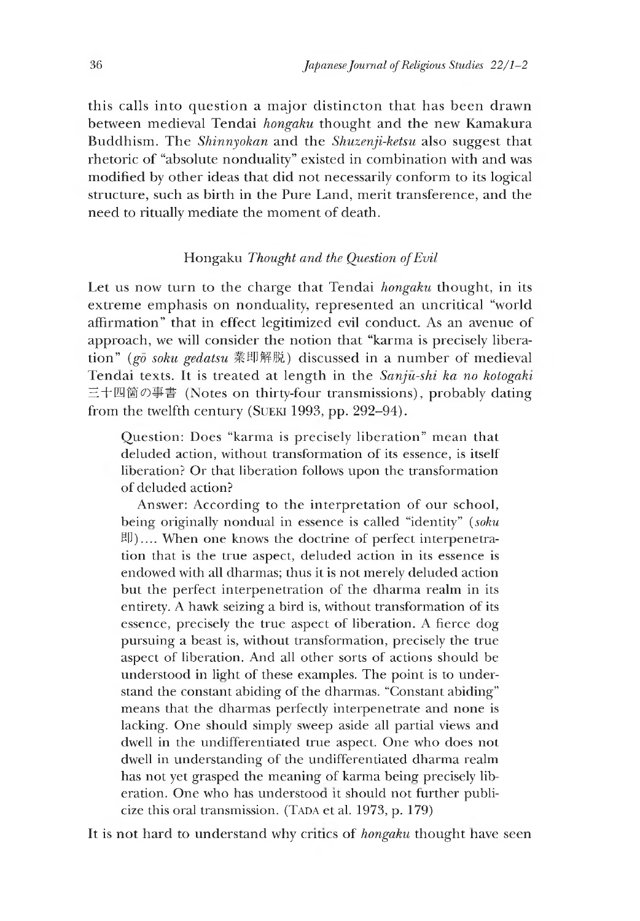this calls into question a major distincton that has been drawn between medieval Tendai *hongaku* thought and the new Kamakura Buddhism. The *Shinnyokan* and the *Shuzenji-ketsu* also suggest that rhetoric of "absolute nonduality" existed in combination with and was modified by other ideas that did not necessarily conform to its logical structure, such as birth in the Pure Land, merit transference, and the need to ritually mediate the moment of death.

## Hongaku *Thought and the Question of Evil*

Let us now turn to the charge that Tendai *hongaku* thought, in its extreme emphasis on nonduality, represented an uncritical "world affirmation" that in effect legitimized evil conduct. As an avenue of approach, we will consider the notion that "karma is precisely liberation" (gō soku gedatsu 業即解脱) discussed in a number of medieval Tendai texts. It is treated at length in the *Sanju-shi ka no kotogam* 三十四箇の事書(Notes on thirty-four transmissions), probably dating from the twelfth century (SUEKI 1993, pp. 292-94).

Question: Does "karma is precisely liberation" mean that deluded action, without transformation of its essence, is itself liberation? Or that liberation follows upon the transformation of deluded action?

Answer: According to the interpretation of our school, being originally nondual in essence is called "identity" *(soku* 即).... When one knows the doctrine of perfect interpenetration that is the true aspect, deluded action in its essence is endowed with all dharmas; thus it is not merely deluded action but the perfect interpenetration of the dharma realm in its entirety. A hawk seizing a bird is, without transformation of its essence, precisely the true aspect of liberation. A fierce dog pursuing a beast is, without transformation, precisely the true aspect of liberation. And all other sorts of actions should be understood in light of these examples. The point is to understand the constant abiding of the dharmas. "Constant abiding" means that the dharmas perfectly interpenetrate and none is lacking. One should simply sweep aside all partial views and dwell in the undifferentiated true aspect. One who does not dwell in understanding of the undifferentiated dharma realm has not yet grasped the meaning of karma being precisely liberation. One who has understood it should not further publicize this oral transmission. (TADA et al. 1973, p. 179)

It is not hard to understand why critics of *hongaku* thought have seen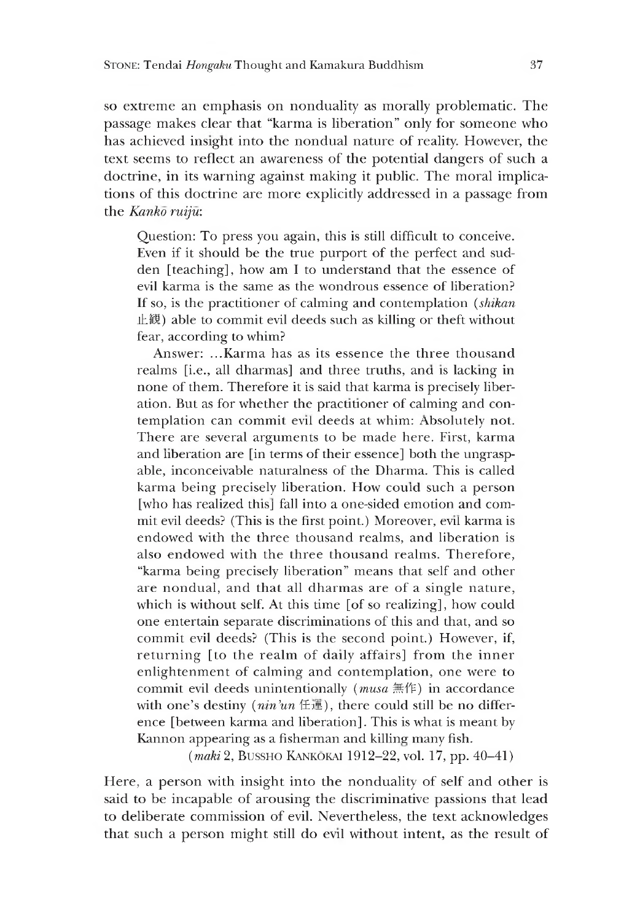so extreme an emphasis on nonduality as morally problematic. The passage makes clear that "karma is liberation" only for someone who has achieved insight into the nondual nature of reality. However, the text seems to reflect an awareness of the potential dangers of such a doctrine, in its warning against making it public. The moral implications of this doctrine are more explicitly addressed in a passage from the *Kanko ruiju:*

Question: To press you again, this is still difficult to conceive. Even if it should be the true purport of the perfect and sudden [teaching], how am I to understand that the essence of evil karma is the same as the wondrous essence of liberation? If so, is the practitioner of calming and contemplation *(shikan* 止観) able to commit evil deeds such as killing or theft without fear, according to whim?

Answer: ...Karma has as its essence the three thousand realms [i.e., all dharmas] and three truths, and is lacking in none of them. Therefore it is said that karma is precisely liberation. But as for whether the practitioner of calming and contemplation can commit evil deeds at whim: Absolutely not. There are several arguments to be made here. First, karma and liberation are [in terms of their essence] both the ungraspable, inconceivable naturalness of the Dharma. This is called karma being precisely liberation. How could such a person [who has realized this] fall into a one-sided emotion and commit evil deeds? (This is the first point.) Moreover, evil karma is endowed with the three thousand realms, and liberation is also endowed with the three thousand realms. Therefore, "karma being precisely liberation" means that self and other are nondual, and that all dharmas are of a single nature, which is without self. At this time [of so realizing], how could one entertain separate discriminations of this and that, and so commit evil deeds? (This is the second point.) However, if, returning [to the realm of daily affairs] from the inner enlightenment of calming and contemplation, one were to commit evil deeds unintentionally *(musa* 無作)in accordance with one's destiny *(nin'un* 任運), there could still be no difference [between karma and liberation]. This is what is meant by Kannon appearing as a fisherman and killing many fish.

*(maki* 2, BUSSHO KANKOKAI 1912-22, vol. 17, pp. 40-41)

Here, a person with insight into the nonduality of self and other is said to be incapable of arousing the discriminative passions that lead to deliberate commission of evil. Nevertheless, the text acknowledges that such a person might still do evil without intent, as the result of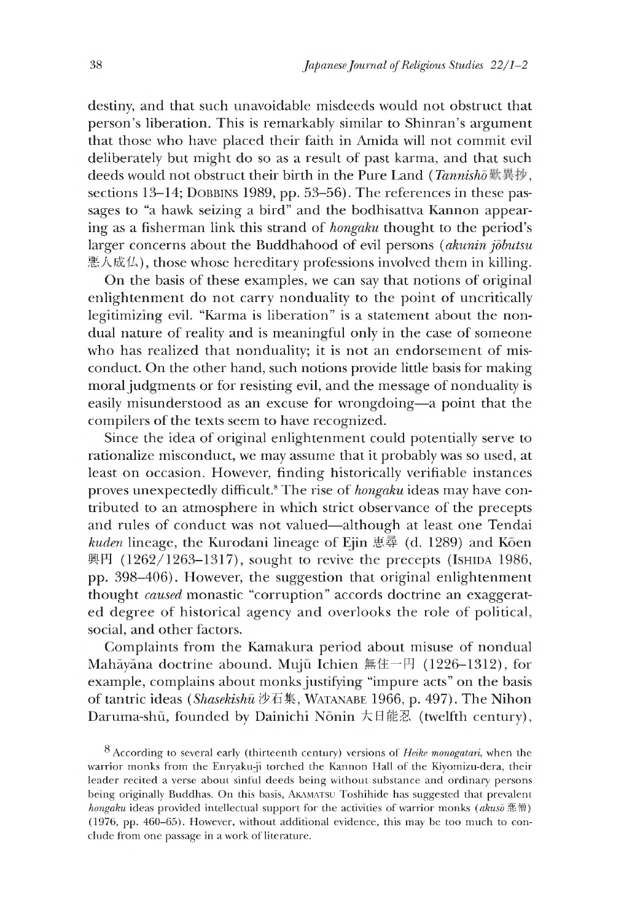destiny, and that such unavoidable misdeeds would not obstruct that person's liberation. This is remarkably similar to Shinran's argument that those who have placed their faith in Amida will not commit evil deliberately but might do so as a result of past karma, and that such deeds would not obstruct their birth in the Pure Land (Tannisho ) 账異抄, sections  $13-14$ ; DOBBINS 1989, pp. 53-56). The references in these passages to "a hawk seizing a bird" and the bodhisattva Kannon appearing as a fisherman link this strand of *hongaku* thought to the period's larger concerns about the Buddhahood of evil persons *(akunin jobutsu* 悪人成仏), those whose hereditary professions involved them in killing.

On the basis of these examples, we can say that notions of original enlightenment do not carry nonduality to the point of uncritically legitimizing evil. "Karma is liberation" is a statement about the nondual nature of reality and is meaningful only in the case of someone who has realized that nonduality; it is not an endorsement of misconduct. On the other hand, such notions provide little basis for making moral judgments or for resisting evil, and the message of nonduality is easily misunderstood as an excuse for wrongdoing—a point that the compilers of the texts seem to have recoenized.

Since the idea of original enlightenment could potentially serve to rationalize misconduct, we may assume that it probably was so used, at least on occasion. However, finding historically verifiable instances proves unexpectedly difficult.<sup>8</sup> The rise of *hongaku* ideas may have contributed to an atmosphere in which strict observance of the precepts and rules of conduct was not valued—although at least one Tendai *kuden* lineage, the Kurodani lineage of Ejin 恵尋 (d. 1289) and Koen 興円  $(1262/1263-1317)$ , sought to revive the precepts (ISHIDA 1986, pp. 398-406). However, the suggestion that original enlightenment thought *caused* monastic "corruption" accords doctrine an exaggerated degree of historical agency and overlooks the role of political, social, and other factors.

Complaints from the Kamakura period about misuse of nondual Mahāyāna doctrine abound. Mujū Ichien 無住一円 (1226-1312), for example, complains about monks justifying "impure acts" on the basis of tan trie ideas *(Shasekishu* 沙石集,Watanabe 1966 p. 497). The Nihon Daruma-shū, founded by Dainichi Nonin 大日能忍 (twelfth century),

8 According to several early (thirteenth century) versions of *Heike monogatari,* when the warrior monks from the Enryaku-ji torched the Kannon Hall of the Kiyomizu-dera, their leader recited a verse about sinful deeds being without substance and ordinary persons being originally Buddhas. On this basis, AKAMATSU Toshihide has suggested that prevalent *hongaku* ideas provided intellectual support for the activities of warrior monks *(akuso* 悪僧) (197b, pp. 460-65). However, without additional evidence, this may be too much to conclude from one passage in a work of literature.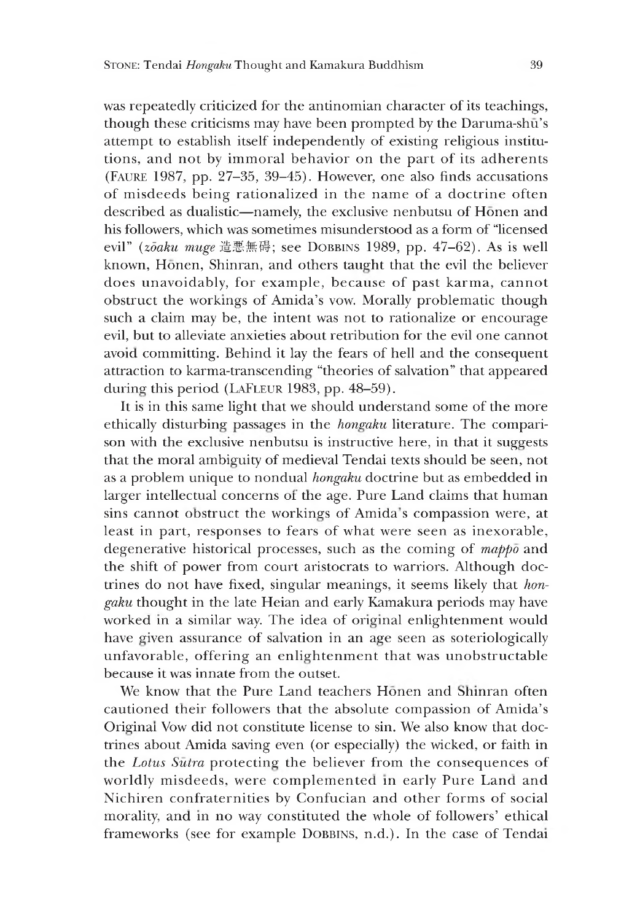was repeatedly criticized for the antinomian character of its teachings, though these criticisms may have been prompted by the Daruma-shū's attempt to establish itself independently of existing religious institutions, and not by immoral behavior on the part of its adherents (Faure 1987 pp. 27—35 39-45). However, one also finds accusations of misdeeds being rationalized in the name of a doctrine often described as dualistic—namely, the exclusive nenbutsu of Honen and his followers, which was sometimes misunderstood as a form of "licensed evil" (zōaku muge 造悪無碍; see DOBBINS 1989, pp. 47-62). As is well known, Honen, Shinran, and others taught that the evil the believer does unavoidably, for example, because of past karma, cannot obstruct the workings of Amida's vow. Morally problematic though such a claim may be, the intent was not to rationalize or encourage evil, but to alleviate anxieties about retribution for the evil one cannot avoid committing. Behind it lay the fears of hell and the consequent attraction to karma-transcending "theories of salvation" that appeared during this period (LAFLEUR 1983, pp. 48-59).

It is in this same light that we should understand some of the more ethically disturbing passages in the *hongaku* literature. The comparison with the exclusive nenbutsu is instructive here, in that it suggests that the moral ambiguity of medieval Tendai texts should be seen, not as a problem unique to nondual *hongaku* doctrine but as embedded in larger intellectual concerns of the age. Pure Land claims that human sins cannot obstruct the workings of Amida's compassion were, at least in part, responses to fears of what were seen as inexorable, degenerative historical processes, such as the coming of *mappo* and the shift of power from court aristocrats to warriors. Although doctrines do not have fixed, singular meanings, it seems likely that *hongaku* thought in the late Heian and early Kamakura periods may have worked in a similar way. The idea of original enlightenment would have given assurance of salvation in an age seen as soteriologically unfavorable, offering an enlightenment that was unobstructable because it was innate from the outset.

We know that the Pure Land teachers Honen and Shinran often cautioned their followers that the absolute compassion of Amida's Original Vow did not constitute license to sin. We also know that doctrines about Amida saving even (or especially) the wicked, or faith in the *Lotus Sutra* protecting the believer from the consequences of worldly misdeeds, were complemented in early Pure Land and Nichiren confraternities by Confucian and other forms of social morality, and in no way constituted the whole of followers' ethical frameworks (see for example Dobbins, n.d.). In the case of Tendai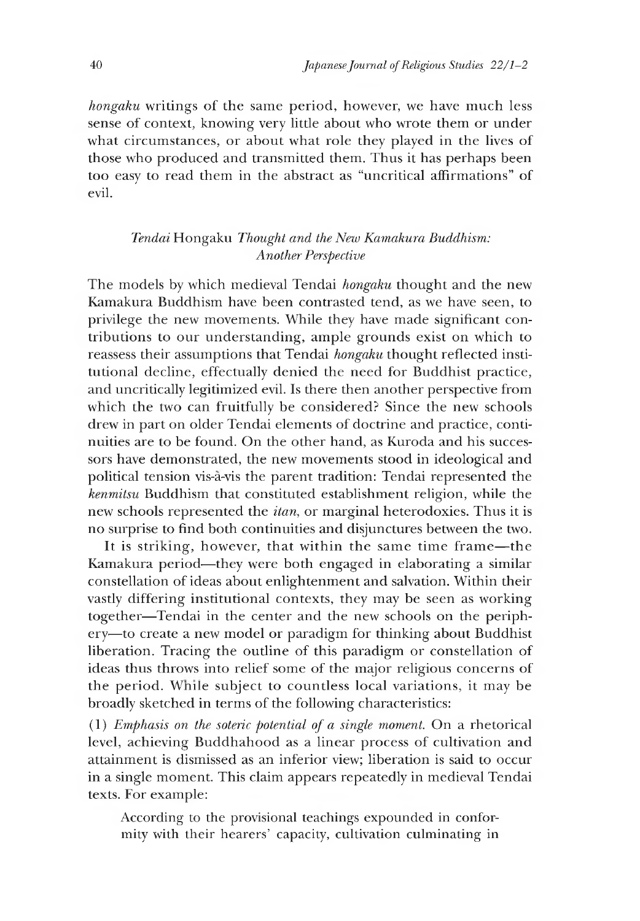*hongaku* writings of the same period, however, we have much less sense of context, knowing very little about who wrote them or under what circumstances, or about what role they played in the lives of those who produced and transmitted them. Thus it has perhaps been too easy to read them in the abstract as "uncritical affirmations" of evil.

# *Tendai* Hongaku *Thought and the New Kamakura Buddhism: Another Perspective*

The models by which medieval Tendai *hongaku* thought and the new Kamakura Buddhism have been contrasted tend, as we have seen, to privilege the new movements. While they have made significant contributions to our understanding, ample grounds exist on which to reassess their assumptions that Tendai *hongaku* thought reflected institutional decline, effectually denied the need for Buddhist practice, and uncritically legitimized evil. Is there then another perspective from which the two can fruitfully be considered? Since the new schools drew in part on older Tendai elements of doctrine and practice, continuities are to be found. On the other hand, as Kuroda and his successors have demonstrated, the new movements stood in ideological and political tension vis-a-vis the parent tradition: Tendai represented the *kenmitsu* Buddhism that constituted establishment religion, while the new schools represented the *itan,* or marginal heterodoxies. Thus it is no surprise to find both continuities and disjunctures between the two.

It is striking, however, that within the same time frame— the Kamakura period—they were both engaged in elaborating a similar constellation of ideas about enlightenment and salvation. Within their vastly differing institutional contexts, they may be seen as working together—Tendai in the center and the new schools on the periphery~to create a new model or paradigm for thinking about Buddhist liberation. Tracing the outline of this paradigm or constellation of ideas thus throws into relief some of the major religious concerns of the period. Wmle subject to countless local variations, it may be broadly sketched in terms of the following characteristics:

(1*) Emphasis on the soteric potential of a single moment.* On a rhetorical level, achieving Buddhahood as a linear process of cultivation and attainment is dismissed as an inferior view; liberation is said to occur in a single moment. This claim appears repeatedly in medieval Tendai texts. For example:

According to the provisional teachings expounded in conformity with their hearers' capacity, cultivation culminating in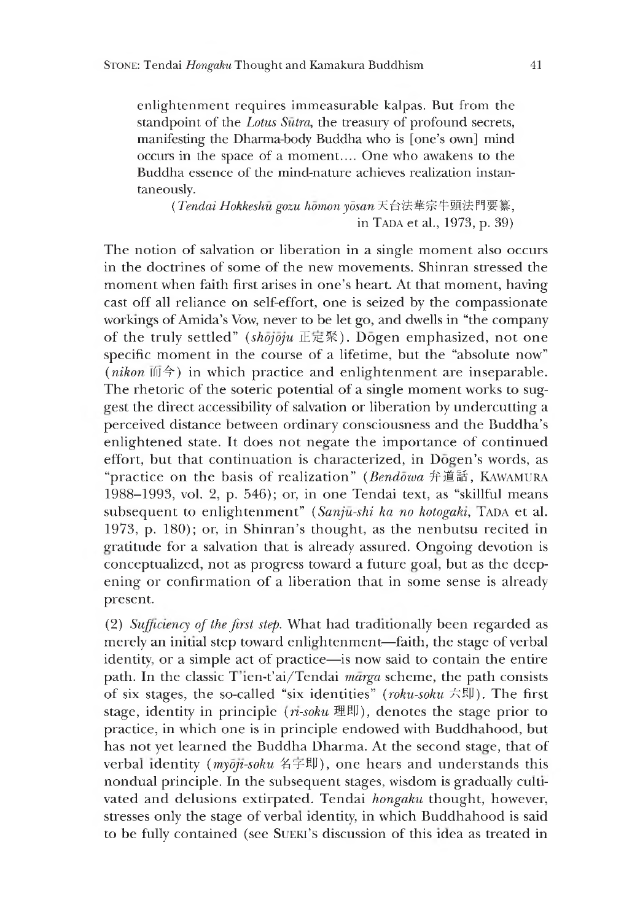enlightenment requires immeasurable kalpas. But from the standpoint of the *Lotus Sutra,* the treasury of profound secrets, manifesting the Dharma-body Buddha who is [one's own] mind occurs in the space of a moment.... One who awakens to the Buddha essence of the mind-nature achieves realization instantaneously.

*(Tendai Hokkeshu gozu homon ydsan*天台法華宗牛頭法門要纂, in TADA et al., 1973, p. 39)

The notion of salvation or liberation in a single moment also occurs in the doctrines of some of the new movements. Shinran stressed the moment when faith first arises in one's heart. At that moment, having cast off all reliance on self-effort, one is seized by the compassionate workings of Amida's Vow, never to be let go, and dwells in "the company of the truly settled" *(shojoju* 正定聚). Dogen emphasized, not one specific moment in the course of a lifetime, but the "absolute now"  $(nikon \vec{m} \hat{\gamma})$  in which practice and enlightenment are inseparable. The rhetoric of the soteric potential of a single moment works to suggest the direct accessibility of salvation or liberation by undercutting a perceived distance between ordinary consciousness and the Buddha's enlightened state. It does not negate the importance of continued effort, but that continuation is characterized, in Dogen's words, as "practice on the basis of realization" *(Bendowa* 弁道話,Kawamura 1988-1993 vol.2 p. 546); or, in one Tendai text, as "skillful means subsequent to enlightenment" (*Sanjū-shi ka no kotogaki*, TADA et al. 1973, p. 180); or, in Shinran's thought, as the nenbutsu recited in gratitude for a salvation that is already assured. Oneoing devotion is conceptualized, not as progress toward a future goal, but as the deepening or confirmation of a liberation that in some sense is already present.

(2) *Sufficiency of the first step.* What had traditionally been regarded as merely an initial step toward enlightenment—faith, the stage of verbal identity, or a simple act of practice—is now said to contain the entire path. In the classic T'ien-t'ai/Tendai *marga* scheme, the path consists of six stages, the so-called "six identities" (roku-soku 六即). The first stage, identity in principle  $(n\text{-}soku \ncong \mathbb{N})$ , denotes the stage prior to practice, in which one is in principle endowed with Buddhahood, but has not yet learned the Buddha Dharma. At the second stage, that of verbal identity (*myoji-soku* 名字即), one hears and understands this nondual principle. In the subsequent stages, wisdom is gradually cultivated and delusions extirpated. Tendai *hongaku* thought, however, stresses only the stage of verbal identity, in which Buddhahood is said to be fully contained (see SUEKI's discussion of this idea as treated in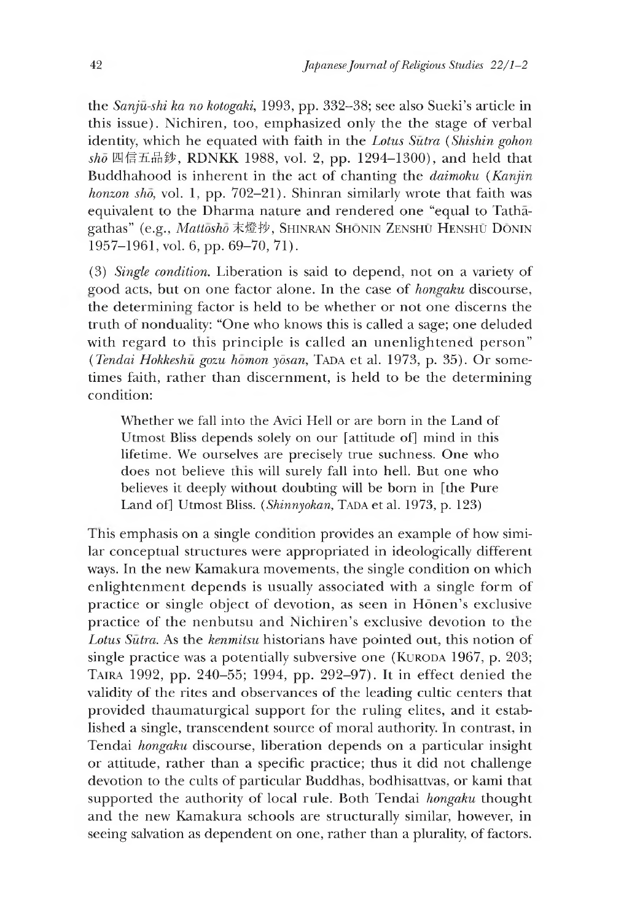the *Sanjū-shi ka no kotogaki*, 1993, pp. 332–38; see also Sueki's article in this issue). Nichiren, too, emphasized only the the stage of verbal identity, which he equated with faith in the *Lotus Sutra (Shishin gohon*  $sh\bar{o}$  四信五品鈔, RDNKK 1988, vol. 2, pp. 1294-1300), and held that Buddhahood is inherent in the act of chanting the *daimoku (Kanjin honzon shō*, vol. 1, pp. 702-21). Shinran similarly wrote that faith was equivalent to the Dharma nature and rendered one "equal to Tathagathas" (e.g., *Mattosho* 末燈抄, Shinran Shōnin Zenshū Henshū Dōnin 1957-1961, vol. 6, pp. 69-70, 71).

(3) *Single condition.* Liberation is said to depend, not on a variety of good acts, but on one factor alone. In the case of *hongaku* discourse, the determining factor is held to be whether or not one discerns the truth of nonduality: "One who knows this is called a sage; one deluded with regard to this principle is called an unenlightened person" *(Tendai Hokkeshu gozu homon yosan, TADA et al. 1973, p. 35). Or some*times faith, rather than discernment, is held to be the determining condition:

Whether we fall into the Avici Hell or are born in the Land of Utmost Bliss depends solely on our [attitude of] mind in this lifetime. We ourselves are precisely true suchness. One who does not believe this will surely fall into hell. But one who believes it deeply without doubting will be born in [the Pure Land of] Utmost Bliss. *(Shinnyokan, TADA et al. 1973, p. 123)* 

1 his emphasis on a single condition provides an example of how similar conceptual structures were appropriated in ideologically different ways. In the new Kamakura movements, the single condition on which enlightenment depends is usually associated with a single form of practice or single object of devotion, as seen in Hōnen's exclusive practice of the nenbutsu and Nichiren's exclusive devotion to the *Lotus Sutra.* As the *kenmitsu* historians have pointed out, this notion of single practice was a potentially subversive one (KURODA 1967, p. 203; TAIRA 1992, pp. 240-55; 1994, pp. 292-97). It in effect denied the validity of the rites and observances of the leading cultic centers that provided thaumaturgical support for the ruling elites, and it established a single, transcendent source of moral authority. In contrast, in Tendai *hongaku* discourse, liberation depends on a particular insight or attitude, rather than a specific practice; thus it did not challenge devotion to the cults of particular Buddhas, bodhisattvas, or kami that supported the authority of local rule. Both Tendai *hongaku* thought and the new Kamakura schools are structurally similar, however, in seeing salvation as dependent on one, rather than a plurality, of factors.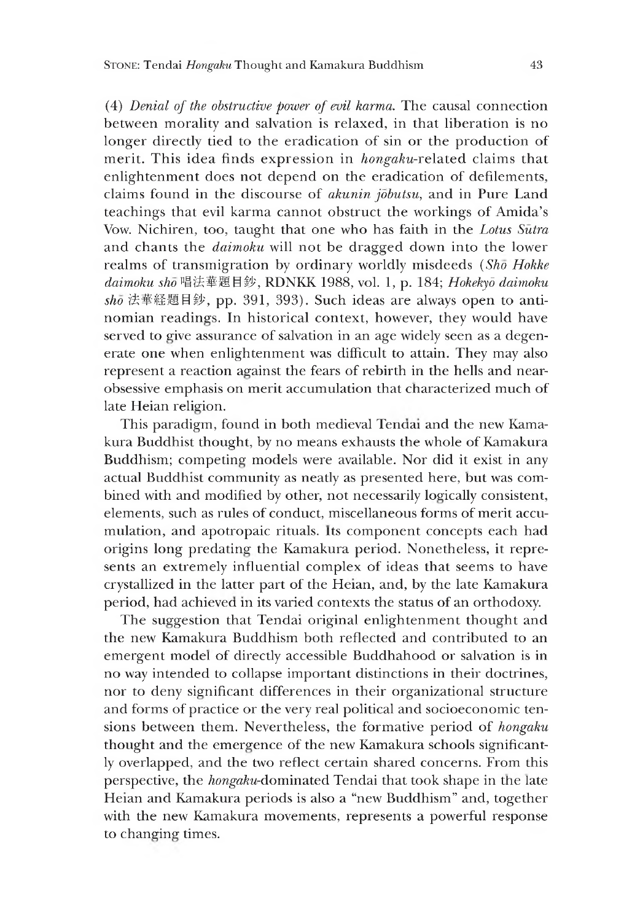(4) *Denial of the obstructive power of evil karma.* The causal connection between morality and salvation is relaxed, in that liberation is no longer directly tied to the eradication of sin or the production of merit. This idea finds expression in *hongaku-related* claims that enlightenment does not depend on the eradication of defilements, claims found in the discourse of *akunin jobutsu,* and in Pure Land teachings that evil karma cannot obstruct the workings of Amida's Vow. Nichiren, too, taught that one who has faith in the *Lotus Sutra* and chants the *daimoku* will not be dragged down into the lower realms of transmigration by ordinary worldly misdeeds (Sho Hokke *daimoku sho* 唱法華題目鈔,RDNKK 1988 vol.1 p. 184; *Hokekyd daimoku* sho 法華経題目鈔, pp. 391, 393). Such ideas are always open to antinomian readings. In historical context, however, they would have served to give assurance of salvation in an age widely seen as a degenerate one when enlightenment was difficult to attain. They may also represent a reaction against the fears of rebirth in the hells and nearobsessive emphasis on merit accumulation that characterized much of late Heian religion.

This paradigm, found in both medieval Tendai and the new Kamakura Buddhist thought, by no means exhausts the whole of Kamakura Buddhism; competing models were available. Nor did it exist in any actual Buddhist community as neatly as presented here, but was combined with and modified by other, not necessarily logically consistent, elements, such as rules of conduct, miscellaneous forms of merit accumulation, and apotropaic rituals. Its component concepts each had origins long predating the Kamakura period. Nonetheless, it represents an extremely influential complex of ideas that seems to have crystallized in the latter part of the Heian, and, by the late Kamakura period, had achieved in its varied contexts the status of an orthodoxy.

The suggestion that Tendai original enlightenment thought and the new Kamakura Buddhism both reflected and contributed to an emergent model of directly accessible Buddhahood or salvation is in no way intended to collapse important distinctions in their doctrines, nor to deny significant differences in their organizational structure and forms of practice or the very real political and socioeconomic tensions between them. Nevertheless, the formative period of *hongaku* thought and the emergence of the new Kamakura schools significantly overlapped, and the two reflect certain shared concerns. From this perspective, the *hongaku-*dominated Tendai that took shape in the late Heian and Kamakura periods is also a "new Buddhism" and, together with the new Kamakura movements, represents a powerful response to changing times.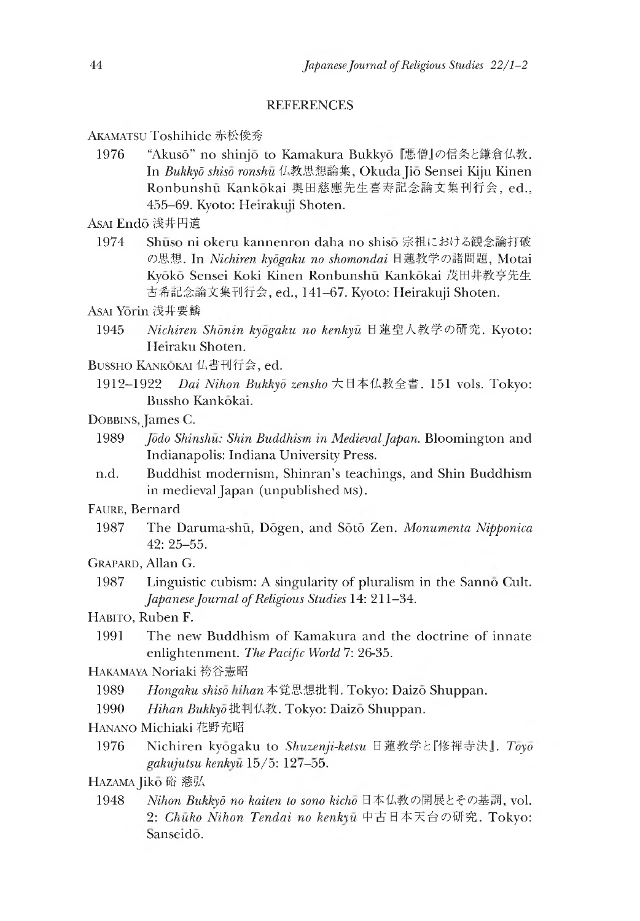#### **REFERENCES**

AKAMATSU Toshihide 赤松俊秀

1976 "Akusō" no shinjō to Kamakura Bukkyō 『悪僧』の信条と鎌倉仏教. In *Bukkyd shiso ronshu* 仏教思想論集,Okuda Jio Sensei Kiju Kinen Ronbunshū Kankokai 奥田慈應先生喜寿記念論文集刊行会, ed., 455-69. Kyoto: HeiraKuii Shoten.

Asai Endō 浅井円道

1974 Shūso ni okeru kannenron daha no shisō 宗祖における観念論打破 の思想. In *Nichiren kyōgaku no shomondai* 日蓮教学の諸問題, Motai Kyōkō Sensei Koki Kinen Ronbunshū Kankōkai 茂田井教亨先生 記念論文集刊行会,ed., 141-67. Kyoto: Heirakuji Shoten.

Asai Yōrin 浅井要麟

1945 *Nichiren Shonin kyogaku no kenkyu* 日蓮聖人教学の研究. Kyoto: Heiraku Shoten.

BUSSHO KANKOKAI 仏書刊行会, ed.

- 1912-1922 *Dai Nihon Bukkyō zensho* 大日本仏教全書. 151 vols. Tokyo: Bussho Kankokai.
- DOBBINS, James C.
	- 1989 *Jodo Shinshu: Shin Buddhism in Medieval Japan.* Bloomington and Indianapolis: Indiana University Press,
	- n.d. Buddhist modernism, Shinran's teachings, and Shin Buddhism in medieval Japan (unpublished MS).

FAURE, Bernard

1987 The Daruma-shu, Dogen, and Soto Zen. *Monumenta Nipponica* 42: 25-55.

GRAPARD, Allan G.

1987 Linguistic cubism: A singularity of pluralism in the Sanno Cult. *Japanese Journal of Religious Studies* 14: 211-34.

HABITO, Ruben F.

1991 The new Buddhism of Kamakura and the doctrine of innate enlightenment. *The Pacific World* 7: 26-35.

HAKAMAYA Noriaki 袴谷憲昭

- 1989 Hongaku shiso hihan 本覚思想批判. Tokyo: Daizo Shuppan.
- 1990 *Hihan Bukkyō* 批判仏教. Tokyo: Daizō Shuppan.
- HANANO Michiaki 花野充昭
	- 1976 Nichiren kyogaku to *Shuzenji-ketsu* 日蓮教学と『修禅寺決*』. Toyo* gakujutsu kenkyū 15/5: 127-55.

Hazama Jiko 硲 慈弘

1948 *Nihon Bukkyō no kaiten to sono kichō* 日本仏教の開展とその基調, vol. 2: *Chuko Nihon Tendai no kenkyu* 中古日本天台の研究. Tokyo: Sanseido.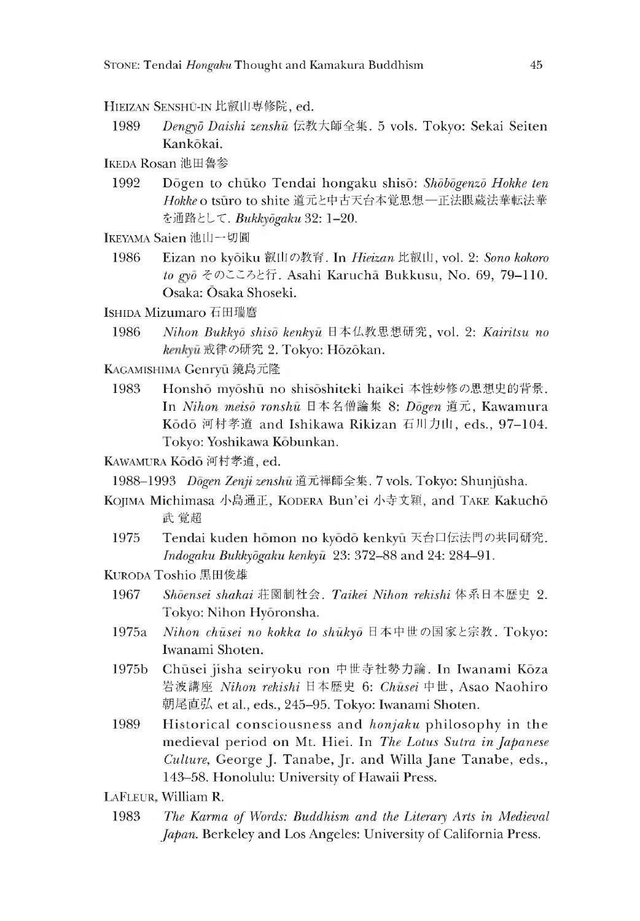#### HIEIZAN SENSHŪ-IN 比叡山専修院, ed.

1989 *Dengyō Daishi zenshū* 伝教大師全集. 5 vols. Tokyo: Sekai Seiten Kankōkai.

IKEDA Rosan 池田魯参

- 1992 Dogen to chuko Tendai hongaku shiso: *Shobogenzo Hokke ten* Hokke o tsuro to shite 道元と中古天台本覚思想––正法眼蔵法華転法華 を通 とし *. Bukhibgalau* 32:1-20.
- IKEYAMA Saien 池山一切圓
	- 1986 Eizan no kyōiku 叡山の教育. In *Hieizan* 比叡山, vol. 2: *Sono kokoro* to gyo そのこころと行. Asahi Karucha Bukkusu, No. 69, 79-110. Osaka: Osaka Shoseki.

ISHIDA Mizumaro 石田瑞麿

1986 *Nihon Bukkyd shiso kenkyu* 日本仏教思想研究 vol.2: *Kairitsu no* kenkyū 戒律の研究 2. Tokyo: Hōzōkan.

KAGAMISHIMA Genryū 鏡島元隆

1983 Honshō myōshū no shisōshiteki haikei 本性妙修の思想史的背景. In *Nihon meiso ronshu* 日本名僧論集 8: *Dogen* 道元, Kawamura Kōdō 河村孝道 and Ishikawa Rikizan 石川力山, eds., 97-104. Tokyo: Yoshikawa Kobunkan.

KAWAMURA Kodo 河村孝道, ed.

1988–1993 *Dogen Zenji zenshu* 道元禅師全集. 7 vols. Tokyo: Shunjusha.

- KOJIMA Michimasa 小島通正, KODERA Bun'ei 小寺文穎, and TAKE Kakuchō 武覚超
	- 1975 Tendai kuden homon no kyodo kenkyū 天台口伝法門の共同研究. *Indogaku Bukkydgaku kenkyu* 23: 372-88 and 24: 284-91.

KURODA Toshio 黒田俊雄

- *Shoensei shakai* 荘園 *. Taikei Nihon rekishi* 日本歴史 2. Tokyo: Nihon Hyōronsha. 1967
- *Nihon chusei no kokka to shukyo* 日本中世の国家と宗教. Tokyo: Iwanami Shoten. 1975a
- 1975b Chūsei jisha seiryoku ron 中世寺社勢力論. In Iwanami Kōza 岩波講座 Nihon rekishi 日本歴史 6: Chusei 中世, Asao Naohiro 草月尾 et al., eds., 245-95. Tokyo: Iwanami Shoten.
- Historical consciousness and *honjaku* philosophy in the medieval period on Mt. Hiei. In *The Lotus Sutra in Japanese Culture, George J. Tanabe, Jr. and Willa Jane Tanabe, eds.,* 143-58. Honolulu: University of Hawaii Press. 1989

LAFLEUR. William R.

*The Karma of Words: Buddhism and the Literary Arts in Medieval Japan.* Berkeley and Los Angeles: University of California Press. 1983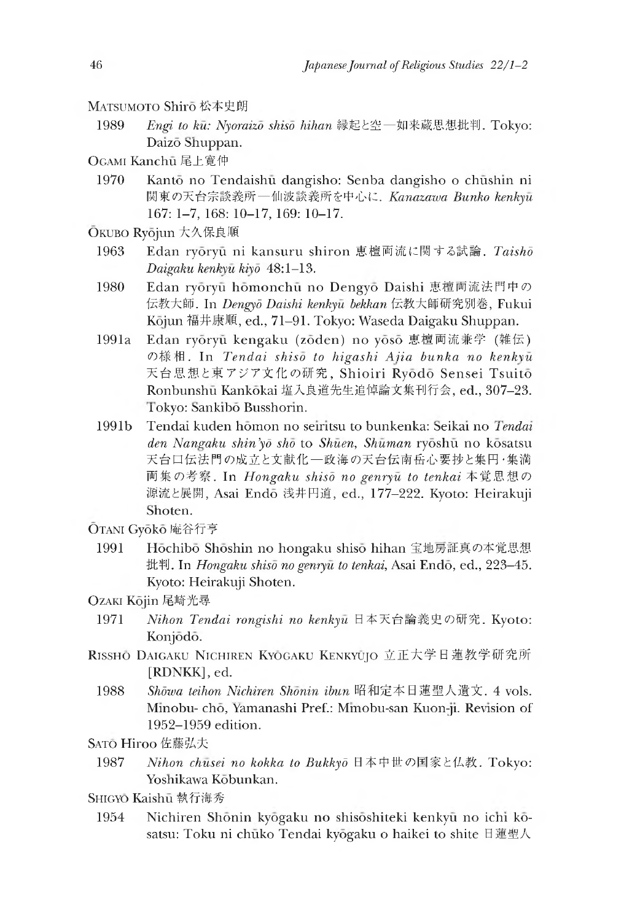#### MATSUMOTO Shirō 松本史朗

- 1989 Engi to kū: Nyoraizō shisō hihan 縁起と空一如来蔵思想批判. Tokyo: Daizō Shuppan.
- OGAMI Kanchū 尾上寛仲
	- 1970 Kantō no Tendaishu dangisho: Senba dangisho o chushin ni 関東の天台宗談義所一仙波談義所を中心に*. Kanazawa Bunko kenkyu* 167: 1-7 168: 10-17 169: 10-17.
- OKUBO Ryojun 大久保良順
	- 1963 Edan ryōryū ni kansuru shiron 恵檀両流に関する試論. Taishō *Daigaku kenkvu kiw* 48:1-13.
	- 1980 Edan ryōryū hōmonchū no Dengyō Daishi 恵檀両流法門中の 伝教大師. In *Dengyō Daishi kenkyū bekkan* 伝教大師研究別巻, Fukui Kōjun 福井康順, ed., 71-91. Tokyo: Waseda Daigaku Shuppan.
	- 1991a Edan ryōryū kengaku (zōden) no yōsō 恵檀両流兼学 (雑伝) の様相. In *Tendai shiso to higashi Ajia bunka no kenkyū* 天台思想と東アジア文化の研究, Shioiri Ryodo Sensei Tsuito Ronbunshū Kankōkai 塩入良道先生追悼論文集刊行会, ed., 307-23. Tokyo: Sankibo Busshorin.
	- 1991b Tendai kuden homon no seiritsu to bunkenka: Seikai no *Tendai den Nanmku shin'yd sho* to *Shuen, Shuman* ryoshu no kosatsu 天台口伝法門の成立と文献化一政海の天台伝南岳心要抄と集円·集満 而集の考察. In *Hongaku shiso no genryū to tenkai* 本覚思想の 源流と展開, Asai Endō 浅井円道, ed., 177-222. Kyoto: Heirakuji Shoten.

ŌTANI Gyōkō 庵谷行亨

1991 Hōchibō Shōshin no hongaku shisō hihan 宝地房証真の本覚思想 . In *Hongaku shiso no genryu to tenkai,* Asai Endo, ed., 223-45. Kyoto: Heirakuji Shoten.

OZAKI Kōjin 尾崎光尋

- 1971 *Nihon Tendai rongishi no kenkyū* 日本天台論義史の研究. Kyoto: Konjodo.
- RISSHO DAIGAKU NICHIREN KYOGAKU KENKYUJO 立正大学日蓮教学研究所 [RDNKK], ed.
- 1988 *Shdwa teihon Nichiren Shonin ibun* 昭和定本日蓮聖人 . 4 vols. Mmobu- cho, Yamanashi Pref.: Mmobu-san Kuon-]i. Revision of 1952-1959 edition.

SATO Hiroo 佐藤弘夫

1987 Nihon chusei no kokka to Bukkyo 日本中世の国家と仏教. Tokyo: Yoshikawa Kobunkan.

SHIGYO Kaishū 執行海秀

1954 Nichiren Shonin kyogaku no shisoshiteki kenkyū no ichi kosatsu: Toku ni chuko Tendai kyogaku o haikei to shite 日蓮聖人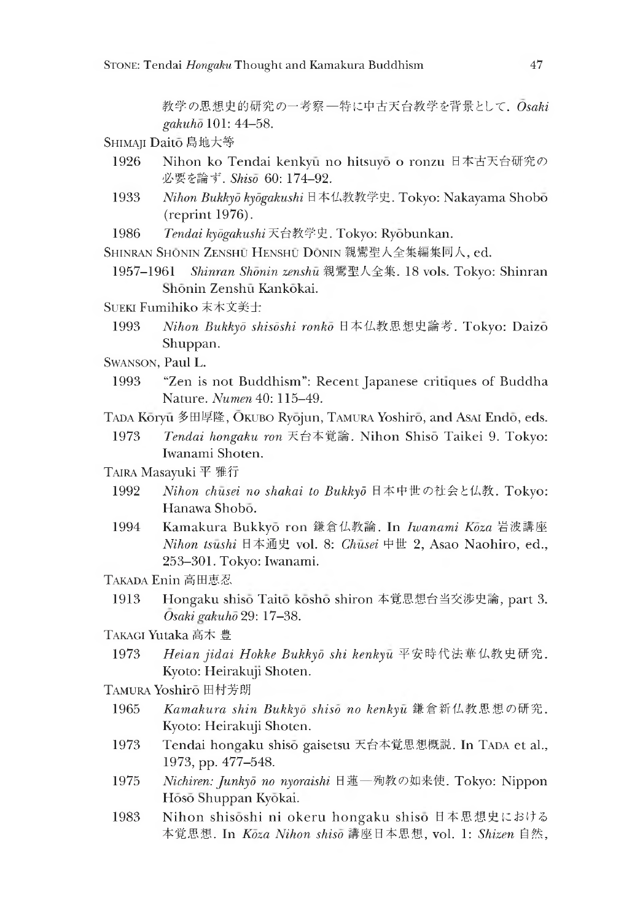教学の思想史的研究の一考察 に中古天台教学を背景とし *. Osaki gakuho*101:44-58.

- SHIMAJI Daitō 島地大等
	- 1926 Nihon ko Tendai kenkyu no hitsuyo o ronzu 日本古天台研究の 要を論 *. Shiso* 60:174-92.
	- 1933 *Nihon Bukkyō kyōgakushi* 日本仏教教学史. Tokyo: Nakayama Shobō (reprint 1976).
	- 1986 *Tendai kyōgakushi* 天台教学史. Tokyo: Ryōbunkan.

SHINRAN SHŌNIN ZENSHŪ HENSHŪ DŌNIN 親鸞聖人全集編集同人, ed.

- 1957-1961 *Shinran Shōnin zenshū* 親鸞聖人全集. 18 vols. Tokyo: Shinran Shōnin Zenshū Kankōkai.
- SUEKI Fumihiko 末木文美士
	- 1993 *Nihon Bukkyō shisōshi ronkō* 日本仏教思想史論考. Tokyo: Daizō Shuppan.
- SWANSON, Paul L.
- 1993 "Zen is not Buddhism": Recent Japanese critiques of Buddha Nature. *Numen* 40:115-49.
- TADA Koryū 多田厚隆, OKUBO Ryojun, TAMURA Yoshiro, and ASAI Endo, eds.
- 1973 *Tendai hongaku ron* 天台本覚論. Nihon Shiso Taikei 9. Tokyo: Iwanami Shoten.

TAIRA Masayuki 平 雅行

- 1992 Nihon chūsei no shakai to Bukkyō 日本中世の社会と仏教. Tokyo: Hanawa Shobo.
- 1994 Kamakura Bukkyō ron 鎌倉仏教論. In *Iwanami Kōza* 岩波講座 *Nihon tsushi* 日本通史 vol. 8: *Chusei* 中世 2, Asao Naohiro, ed., 253-301. Tokyo: Iwanami.
- TAKADA Enin 高田恵忍
	- 1913 Hongaku shiso Taito kosho shiron 本覚思想台当交渉史論, part 3. Osaki gakuhō 29: 17-38.
- TAKAGI Yutaka 高木 豊
	- 1973 *Heian jidai Hokke Bukkyd shi kenkyu* 平安時代法華仏教史研究. Kyoto: Heirakuji Shoten.
- TAMURA Yoshirō 田村芳朗
	- 1965 Kamakura shin Bukkyō shisō no kenkyū 鎌倉新仏教思想の研究. Kyoto: Heirakuji Shoten.
	- 1973 Tendai hongaku shiso gaisetsu 天台本覚思想概説. In TADA et al., 1973, pp. 477-548.
	- 1975 *Nichiren: Junkyō no nyoraishi* 日蓮一殉教の如来使. Tokyo: Nippon Hōsō Shuppan Kyōkai.
	- 1983 Nihon shisoshi ni okeru hongaku shiso 日本思想史における 本覚思想. In *Koza Nihon shiso* 講座日本思想, vol. 1: Shizen 自然,